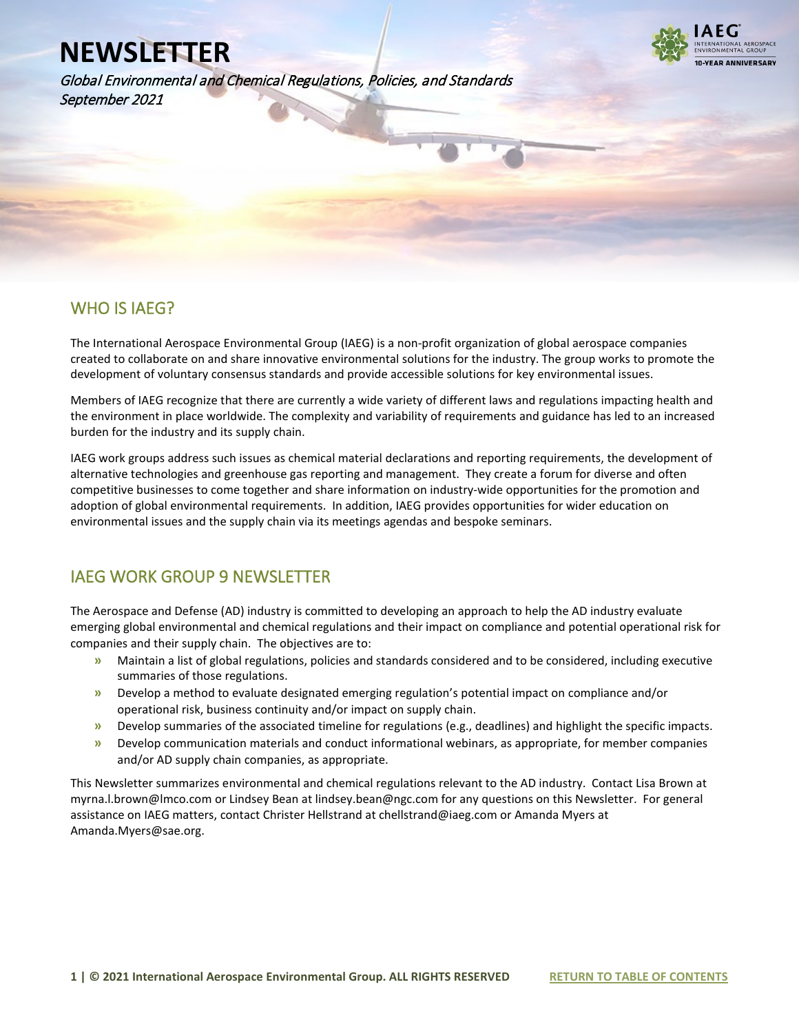Global Environmental and Chemical Regulations, Policies, and Standards September 2021



### WHO IS IAEG?

l

The International Aerospace Environmental Group (IAEG) is a non-profit organization of global aerospace companies created to collaborate on and share innovative environmental solutions for the industry. The group works to promote the development of voluntary consensus standards and provide accessible solutions for key environmental issues.

Members of IAEG recognize that there are currently a wide variety of different laws and regulations impacting health and the environment in place worldwide. The complexity and variability of requirements and guidance has led to an increased burden for the industry and its supply chain.

IAEG work groups address such issues as chemical material declarations and reporting requirements, the development of alternative technologies and greenhouse gas reporting and management. They create a forum for diverse and often competitive businesses to come together and share information on industry-wide opportunities for the promotion and adoption of global environmental requirements. In addition, IAEG provides opportunities for wider education on environmental issues and the supply chain via its meetings agendas and bespoke seminars.

### IAEG WORK GROUP 9 NEWSLETTER

The Aerospace and Defense (AD) industry is committed to developing an approach to help the AD industry evaluate emerging global environmental and chemical regulations and their impact on compliance and potential operational risk for companies and their supply chain. The objectives are to:

- **»** Maintain a list of global regulations, policies and standards considered and to be considered, including executive summaries of those regulations.
- **»** Develop a method to evaluate designated emerging regulation's potential impact on compliance and/or operational risk, business continuity and/or impact on supply chain.
- **»** Develop summaries of the associated timeline for regulations (e.g., deadlines) and highlight the specific impacts.
- **»** Develop communication materials and conduct informational webinars, as appropriate, for member companies and/or AD supply chain companies, as appropriate.

This Newsletter summarizes environmental and chemical regulations relevant to the AD industry. Contact Lisa Brown at myrna.l.brown@lmco.com or Lindsey Bean at lindsey.bean@ngc.com for any questions on this Newsletter. For general assistance on IAEG matters, contact Christer Hellstrand at chellstrand@iaeg.com or Amanda Myers at Amanda.Myers@sae.org.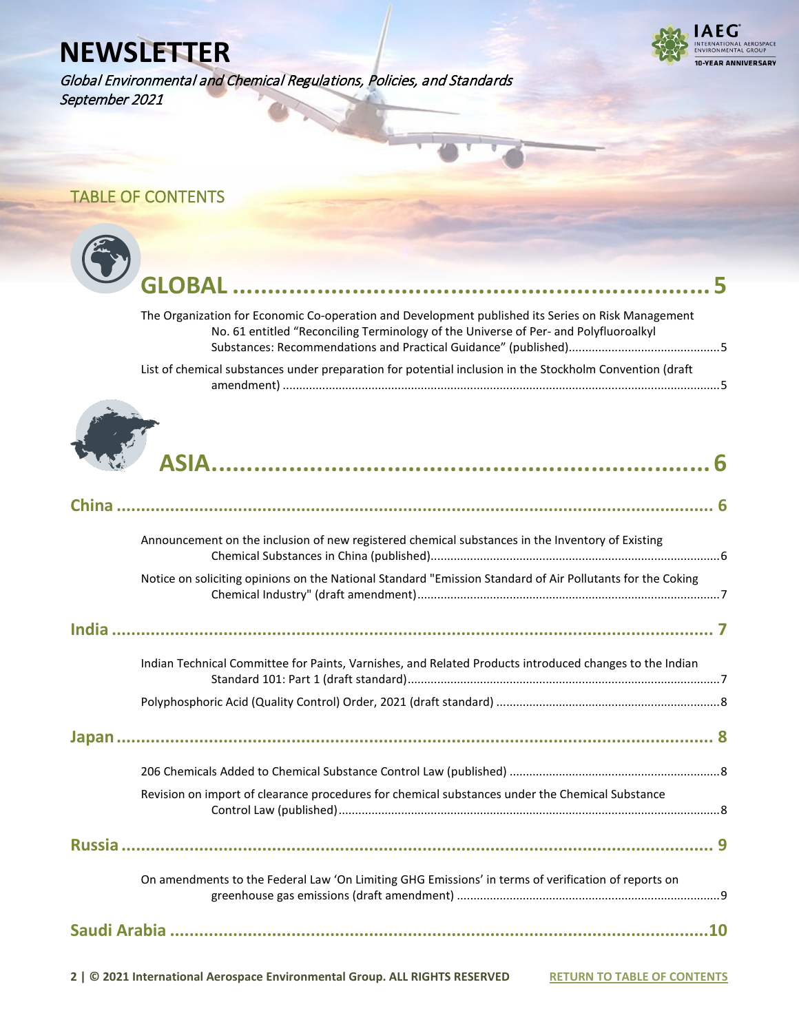Global Environmental and Chemical Regulations, Policies, and Standards September 2021



## <span id="page-1-0"></span>TABLE OF CONTENTS

| The Organization for Economic Co-operation and Development published its Series on Risk Management<br>No. 61 entitled "Reconciling Terminology of the Universe of Per- and Polyfluoroalkyl |
|--------------------------------------------------------------------------------------------------------------------------------------------------------------------------------------------|
| List of chemical substances under preparation for potential inclusion in the Stockholm Convention (draft                                                                                   |
|                                                                                                                                                                                            |
|                                                                                                                                                                                            |
| Announcement on the inclusion of new registered chemical substances in the Inventory of Existing                                                                                           |
| Notice on soliciting opinions on the National Standard "Emission Standard of Air Pollutants for the Coking                                                                                 |
|                                                                                                                                                                                            |
| Indian Technical Committee for Paints, Varnishes, and Related Products introduced changes to the Indian                                                                                    |
|                                                                                                                                                                                            |
|                                                                                                                                                                                            |
|                                                                                                                                                                                            |
| Revision on import of clearance procedures for chemical substances under the Chemical Substance                                                                                            |
|                                                                                                                                                                                            |
| On amendments to the Federal Law 'On Limiting GHG Emissions' in terms of verification of reports on                                                                                        |
|                                                                                                                                                                                            |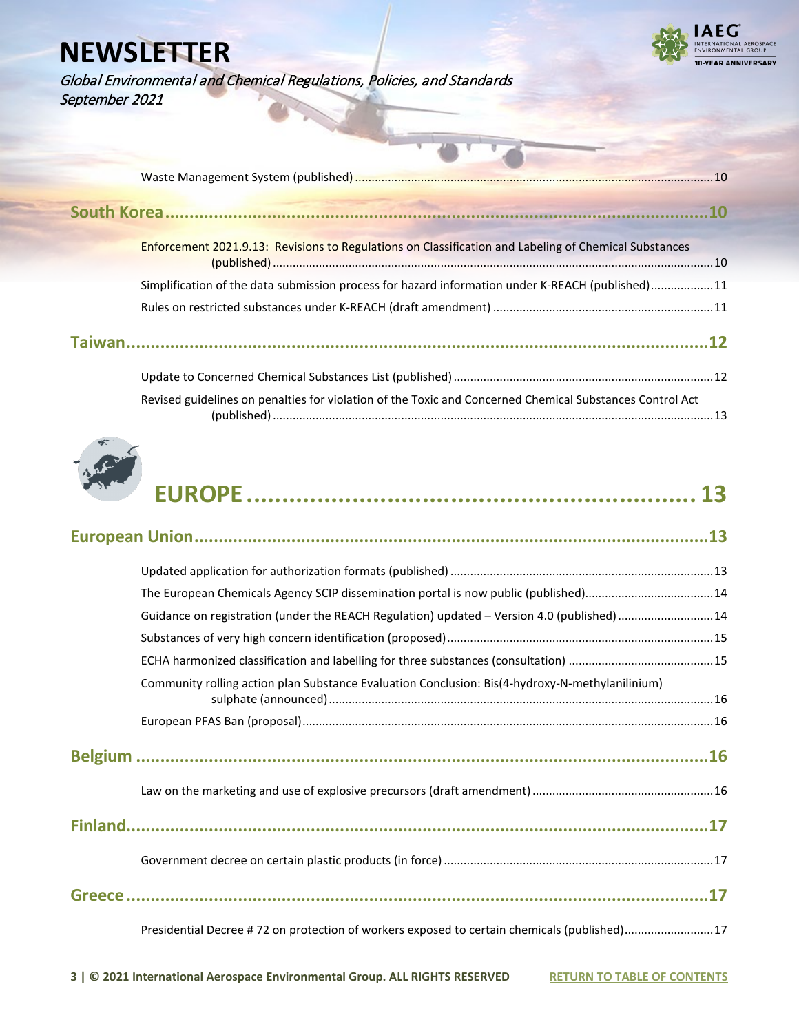

Global Environmental and Chemical Regulations, Policies, and Standards September 2021

| Enforcement 2021.9.13: Revisions to Regulations on Classification and Labeling of Chemical Substances    |  |
|----------------------------------------------------------------------------------------------------------|--|
| Simplification of the data submission process for hazard information under K-REACH (published)11         |  |
|                                                                                                          |  |
|                                                                                                          |  |
|                                                                                                          |  |
| Revised guidelines on penalties for violation of the Toxic and Concerned Chemical Substances Control Act |  |



|--|--|--|

| The European Chemicals Agency SCIP dissemination portal is now public (published)14             |
|-------------------------------------------------------------------------------------------------|
| Guidance on registration (under the REACH Regulation) updated - Version 4.0 (published) 14      |
|                                                                                                 |
|                                                                                                 |
| Community rolling action plan Substance Evaluation Conclusion: Bis(4-hydroxy-N-methylanilinium) |
|                                                                                                 |
|                                                                                                 |
|                                                                                                 |
|                                                                                                 |
|                                                                                                 |
|                                                                                                 |
| Presidential Decree # 72 on protection of workers exposed to certain chemicals (published)17    |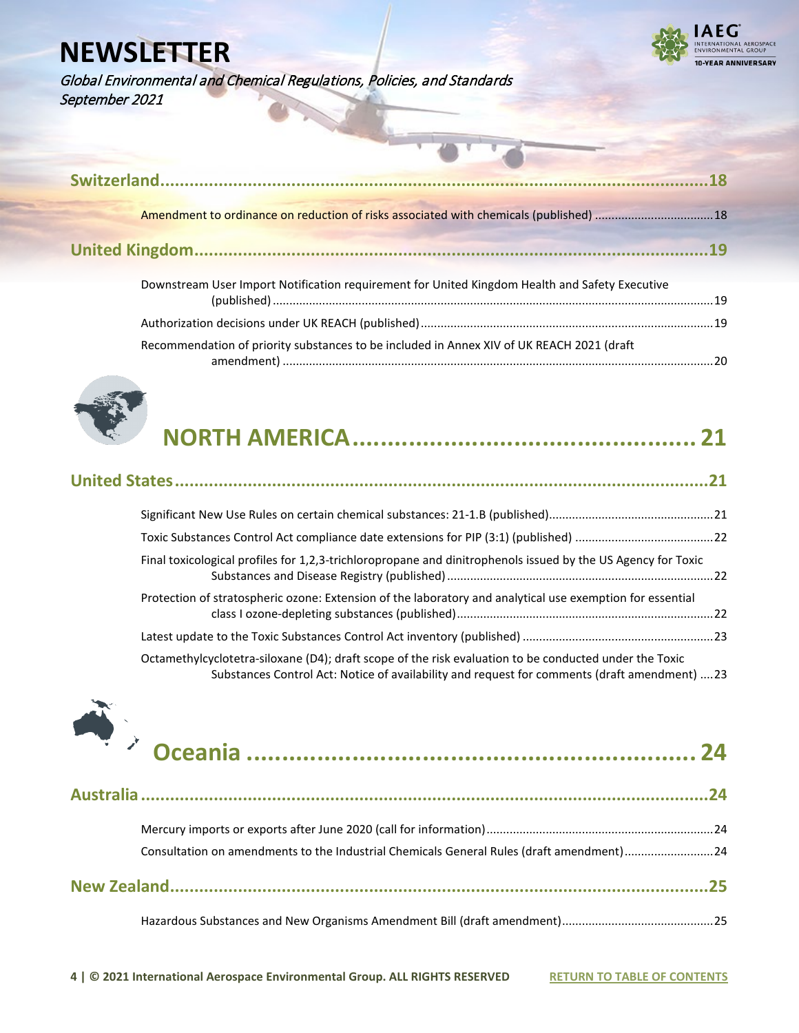ROSPACE 0-YEAR ANNIVERSARY

Global Environmental and Chemical Regulations, Policies, and Standards September 2021

| Downstream User Import Notification requirement for United Kingdom Health and Safety Executive | 19 |
|------------------------------------------------------------------------------------------------|----|
|                                                                                                |    |

[Recommendation of priority substances to be included in Annex XIV of UK REACH 2021 \(draft](#page-19-0) 



|--|--|

amendment) [...................................................................................................................................20](#page-19-0)

| Final toxicological profiles for 1,2,3-trichloropropane and dinitrophenols issued by the US Agency for Toxic                                                                                            |  |
|---------------------------------------------------------------------------------------------------------------------------------------------------------------------------------------------------------|--|
| Protection of stratospheric ozone: Extension of the laboratory and analytical use exemption for essential                                                                                               |  |
|                                                                                                                                                                                                         |  |
| Octamethylcyclotetra-siloxane (D4); draft scope of the risk evaluation to be conducted under the Toxic<br>Substances Control Act: Notice of availability and request for comments (draft amendment)  23 |  |



| Consultation on amendments to the Industrial Chemicals General Rules (draft amendment)24 |  |
|------------------------------------------------------------------------------------------|--|
|                                                                                          |  |
|                                                                                          |  |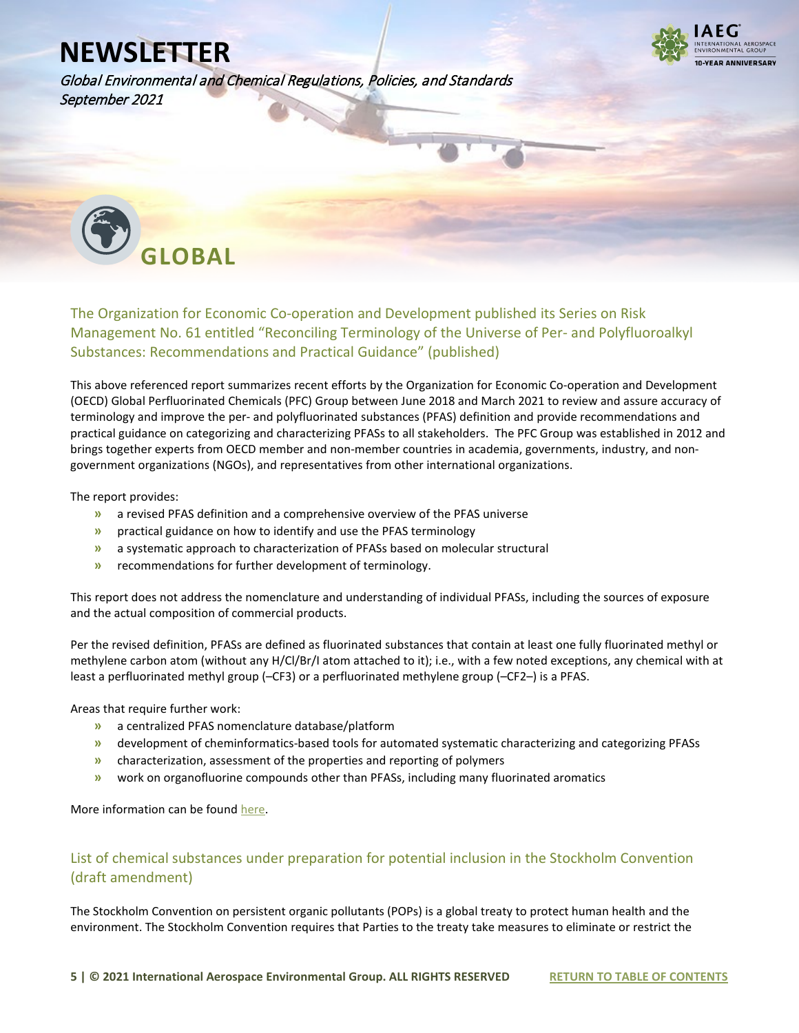

Global Environmental and Chemical Regulations, Policies, and Standards September 2021

<span id="page-4-0"></span>

### <span id="page-4-1"></span>The Organization for Economic Co-operation and Development published its Series on Risk Management No. 61 entitled "Reconciling Terminology of the Universe of Per- and Polyfluoroalkyl Substances: Recommendations and Practical Guidance" (published)

This above referenced report summarizes recent efforts by the Organization for Economic Co-operation and Development (OECD) Global Perfluorinated Chemicals (PFC) Group between June 2018 and March 2021 to review and assure accuracy of terminology and improve the per- and polyfluorinated substances (PFAS) definition and provide recommendations and practical guidance on categorizing and characterizing PFASs to all stakeholders. The PFC Group was established in 2012 and brings together experts from OECD member and non-member countries in academia, governments, industry, and nongovernment organizations (NGOs), and representatives from other international organizations.

The report provides:

- **»** a revised PFAS definition and a comprehensive overview of the PFAS universe
- **»** practical guidance on how to identify and use the PFAS terminology
- **»** a systematic approach to characterization of PFASs based on molecular structural
- **»** recommendations for further development of terminology.

This report does not address the nomenclature and understanding of individual PFASs, including the sources of exposure and the actual composition of commercial products.

Per the revised definition, PFASs are defined as fluorinated substances that contain at least one fully fluorinated methyl or methylene carbon atom (without any H/Cl/Br/I atom attached to it); i.e., with a few noted exceptions, any chemical with at least a perfluorinated methyl group (–CF3) or a perfluorinated methylene group (–CF2–) is a PFAS.

Areas that require further work:

- **»** a centralized PFAS nomenclature database/platform
- **»** development of cheminformatics-based tools for automated systematic characterizing and categorizing PFASs
- **»** characterization, assessment of the properties and reporting of polymers
- **»** work on organofluorine compounds other than PFASs, including many fluorinated aromatics

More information can be foun[d here.](https://www.oecd.org/chemicalsafety/portal-perfluorinated-chemicals/terminology-per-and-polyfluoroalkyl-substances.pdf)

#### <span id="page-4-2"></span>List of chemical substances under preparation for potential inclusion in the Stockholm Convention (draft amendment)

The Stockholm Convention on persistent organic pollutants (POPs) is a global treaty to protect human health and the environment. The Stockholm Convention requires that Parties to the treaty take measures to eliminate or restrict the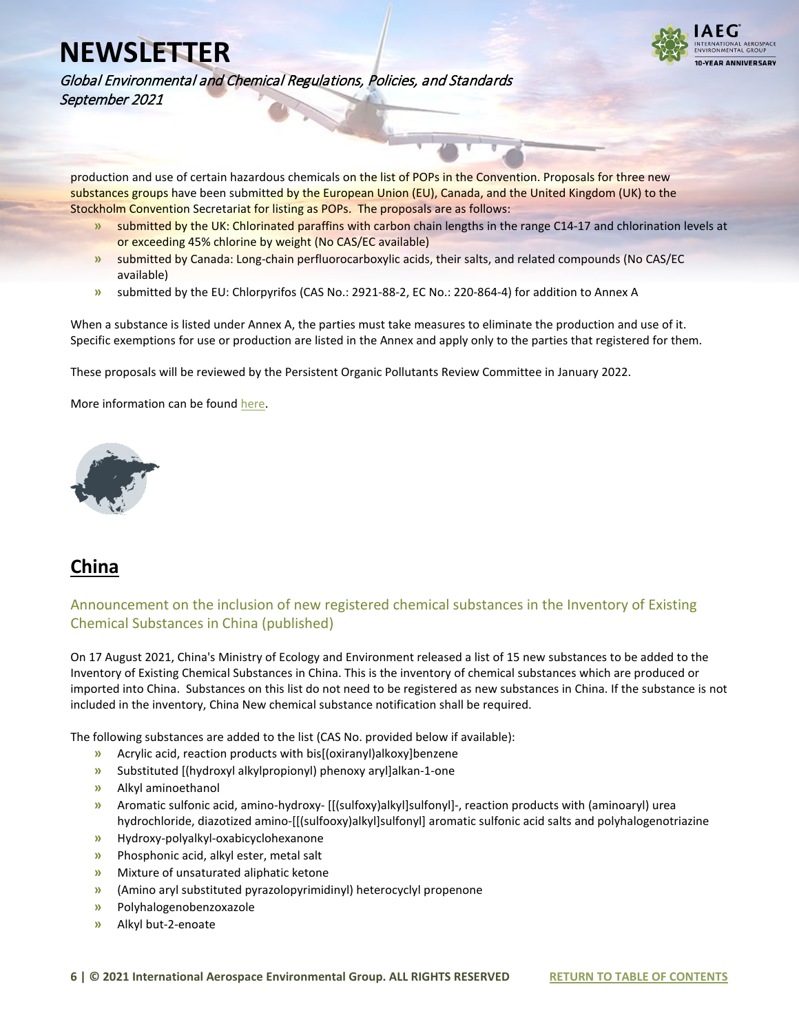

Global Environmental and Chemical Regulations, Policies, and Standards September 2021

production and use of certain hazardous chemicals on the list of POPs in the Convention. Proposals for three new substances groups have been submitted by the European Union (EU), Canada, and the United Kingdom (UK) to the Stockholm Convention Secretariat for listing as POPs. The proposals are as follows:

- **»** submitted by the UK: Chlorinated paraffins with carbon chain lengths in the range C14-17 and chlorination levels at or exceeding 45% chlorine by weight (No CAS/EC available)
- **»** submitted by Canada: Long-chain perfluorocarboxylic acids, their salts, and related compounds (No CAS/EC available)
- **»** submitted by the EU: Chlorpyrifos (CAS No.: 2921-88-2, EC No.: 220-864-4) for addition to Annex A

When a substance is listed under Annex A, the parties must take measures to eliminate the production and use of it. Specific exemptions for use or production are listed in the Annex and apply only to the parties that registered for them.

These proposals will be reviewed by the Persistent Organic Pollutants Review Committee in January 2022.

More information can be foun[d here.](https://echa.europa.eu/hu/list-of-substances-proposed-as-pops)

<span id="page-5-0"></span>

## <span id="page-5-1"></span>**China**

### <span id="page-5-2"></span>Announcement on the inclusion of new registered chemical substances in the Inventory of Existing Chemical Substances in China (published)

On 17 August 2021, China's Ministry of Ecology and Environment released a list of 15 new substances to be added to the Inventory of Existing Chemical Substances in China. This is the inventory of chemical substances which are produced or imported into China. Substances on this list do not need to be registered as new substances in China. If the substance is not included in the inventory, China New chemical substance notification shall be required.

The following substances are added to the list (CAS No. provided below if available):

- **»** Acrylic acid, reaction products with bis[(oxiranyl)alkoxy]benzene
- **»** Substituted [(hydroxyl alkylpropionyl) phenoxy aryl]alkan-1-one
- **»** Alkyl aminoethanol
- **»** Aromatic sulfonic acid, amino-hydroxy- [[(sulfoxy)alkyl]sulfonyl]-, reaction products with (aminoaryl) urea hydrochloride, diazotized amino-[[(sulfooxy)alkyl]sulfonyl] aromatic sulfonic acid salts and polyhalogenotriazine
- **»** Hydroxy-polyalkyl-oxabicyclohexanone
- **»** Phosphonic acid, alkyl ester, metal salt
- **»** Mixture of unsaturated aliphatic ketone
- **»** (Amino aryl substituted pyrazolopyrimidinyl) heterocyclyl propenone
- **»** Polyhalogenobenzoxazole
- **»** Alkyl but-2-enoate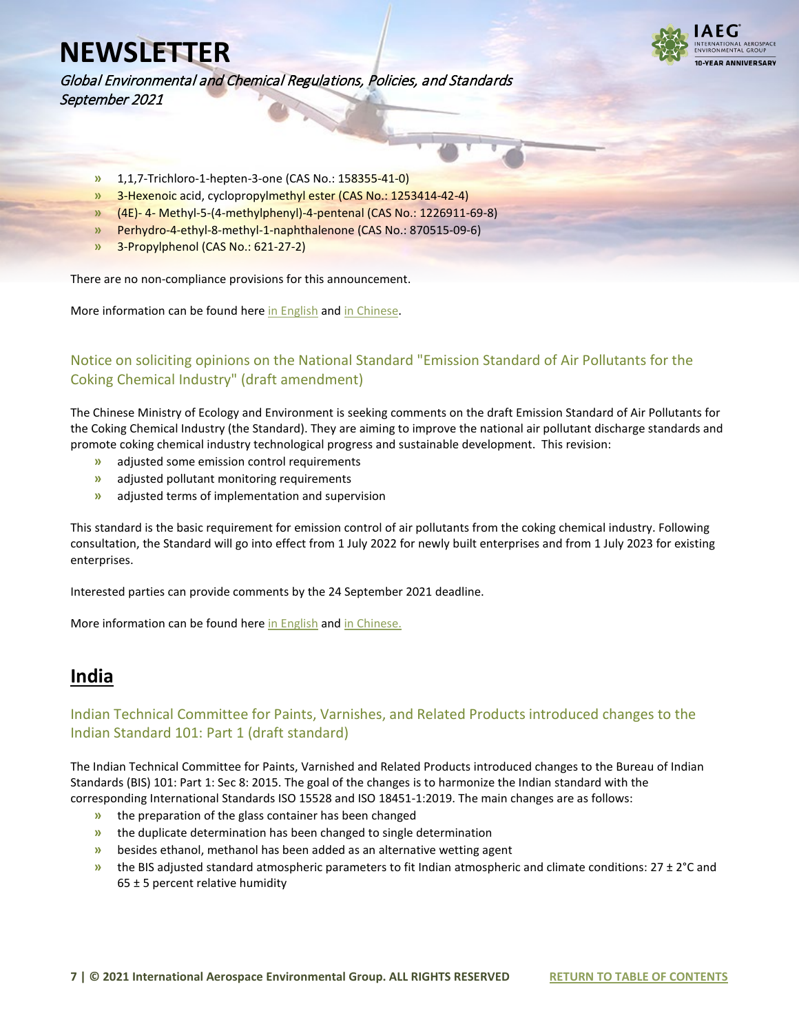

Global Environmental and Chemical Regulations, Policies, and Standards September 2021

- **»** 1,1,7-Trichloro-1-hepten-3-one (CAS No.: 158355-41-0)
- **»** 3-Hexenoic acid, cyclopropylmethyl ester (CAS No.: 1253414-42-4)
- **»** (4E)- 4- Methyl-5-(4-methylphenyl)-4-pentenal (CAS No.: 1226911-69-8)
- **»** Perhydro-4-ethyl-8-methyl-1-naphthalenone (CAS No.: 870515-09-6)
- **»** 3-Propylphenol (CAS No.: 621-27-2)

There are no non-compliance provisions for this announcement.

More information can be found her[e in English](https://www.iaeg.com/elements/pdf/CHN_Update_to_IECSC_english.pdf) an[d in Chinese.](https://www.mee.gov.cn/xxgk2018/xxgk/xxgk01/202108/t20210820_858462.html) 

### <span id="page-6-0"></span>Notice on soliciting opinions on the National Standard "Emission Standard of Air Pollutants for the Coking Chemical Industry" (draft amendment)

The Chinese Ministry of Ecology and Environment is seeking comments on the draft Emission Standard of Air Pollutants for the Coking Chemical Industry (the Standard). They are aiming to improve the national air pollutant discharge standards and promote coking chemical industry technological progress and sustainable development. This revision:

- **»** adjusted some emission control requirements
- **»** adjusted pollutant monitoring requirements
- **»** adjusted terms of implementation and supervision

This standard is the basic requirement for emission control of air pollutants from the coking chemical industry. Following consultation, the Standard will go into effect from 1 July 2022 for newly built enterprises and from 1 July 2023 for existing enterprises.

Interested parties can provide comments by the 24 September 2021 deadline.

More information can be found her[e in English](https://www.iaeg.com/elements/pdf/CHN_Draft_Emission_Standard_for_Coking_Chemicals_english.pdf) an[d in Chinese.](https://www.iaeg.com/elements/pdf/CHN_Draft_Emission_Standard_for_Coking_Chemicals.pdf)

### <span id="page-6-1"></span>**India**

### <span id="page-6-2"></span>Indian Technical Committee for Paints, Varnishes, and Related Products introduced changes to the Indian Standard 101: Part 1 (draft standard)

The Indian Technical Committee for Paints, Varnished and Related Products introduced changes to the Bureau of Indian Standards (BIS) 101: Part 1: Sec 8: 2015. The goal of the changes is to harmonize the Indian standard with the corresponding International Standards ISO 15528 and ISO 18451-1:2019. The main changes are as follows:

- **»** the preparation of the glass container has been changed
- **»** the duplicate determination has been changed to single determination
- **»** besides ethanol, methanol has been added as an alternative wetting agent
- **»** the BIS adjusted standard atmospheric parameters to fit Indian atmospheric and climate conditions: 27 ± 2°C and  $65 \pm 5$  percent relative humidity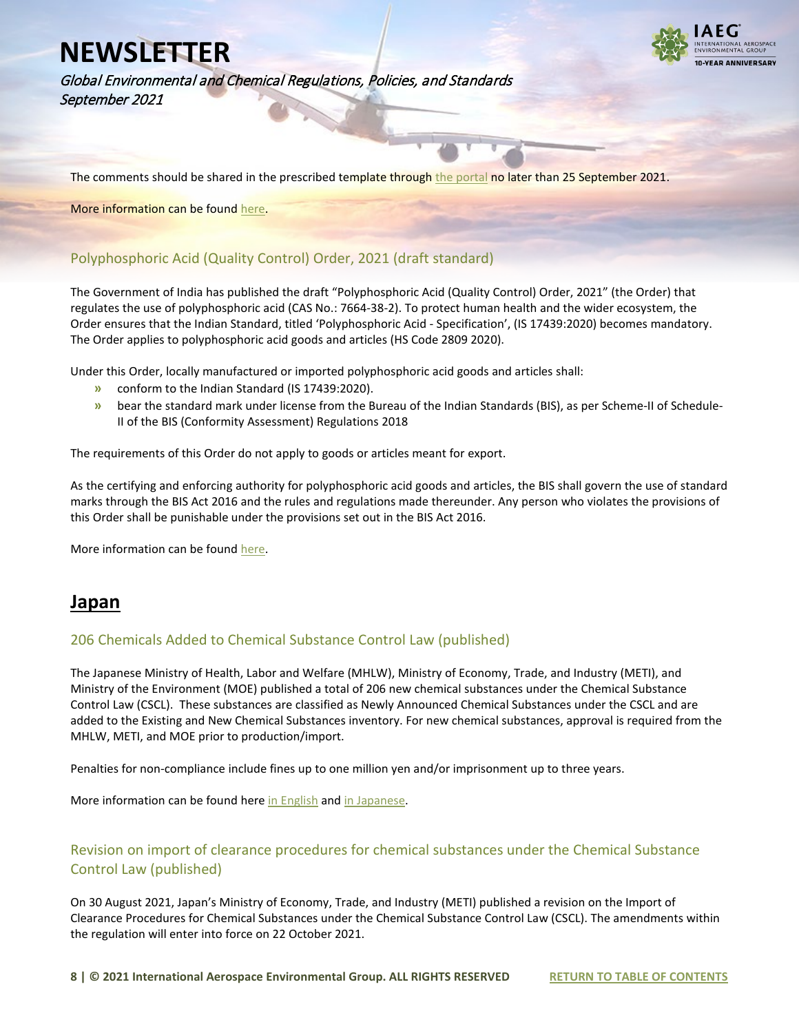

Global Environmental and Chemical Regulations, Policies, and Standards September 2021

The comments should be shared in the prescribed template throug[h the portal](https://www.services.bis.gov.in:8071/php/BIS_2.0/login) no later than 25 September 2021.

More information can be foun[d here.](https://www.iaeg.com/elements/pdf/IND_Draft_Standard_Paints_Varnishes.pdf)

### <span id="page-7-0"></span>Polyphosphoric Acid (Quality Control) Order, 2021 (draft standard)

The Government of India has published the draft "Polyphosphoric Acid (Quality Control) Order, 2021" (the Order) that regulates the use of polyphosphoric acid (CAS No.: 7664-38-2). To protect human health and the wider ecosystem, the Order ensures that the Indian Standard, titled 'Polyphosphoric Acid - Specification', (IS 17439:2020) becomes mandatory. The Order applies to polyphosphoric acid goods and articles (HS Code 2809 2020).

Under this Order, locally manufactured or imported polyphosphoric acid goods and articles shall:

- **»** conform to the Indian Standard (IS 17439:2020).
- **»** bear the standard mark under license from the Bureau of the Indian Standards (BIS), as per Scheme-II of Schedule-II of the BIS (Conformity Assessment) Regulations 2018

The requirements of this Order do not apply to goods or articles meant for export.

As the certifying and enforcing authority for polyphosphoric acid goods and articles, the BIS shall govern the use of standard marks through the BIS Act 2016 and the rules and regulations made thereunder. Any person who violates the provisions of this Order shall be punishable under the provisions set out in the BIS Act 2016.

More information can be foun[d here.](https://www.iaeg.com/elements/pdf/IND_Polyphosphoric_Acid_Quality_Control_Order.pdf)

### <span id="page-7-1"></span>**Japan**

#### <span id="page-7-2"></span>206 Chemicals Added to Chemical Substance Control Law (published)

The Japanese Ministry of Health, Labor and Welfare (MHLW), Ministry of Economy, Trade, and Industry (METI), and Ministry of the Environment (MOE) published a total of 206 new chemical substances under the Chemical Substance Control Law (CSCL). These substances are classified as Newly Announced Chemical Substances under the CSCL and are added to the Existing and New Chemical Substances inventory. For new chemical substances, approval is required from the MHLW, METI, and MOE prior to production/import.

Penalties for non-compliance include fines up to one million yen and/or imprisonment up to three years.

More information can be found her[e in English](https://www.iaeg.com/elements/pdf/JPN_CSCL_Chemicals_Update_english.pdf) an[d in Japanese.](https://www.iaeg.com/elements/pdf/JPN_CSCL_Chemicals_Update.pdf)

### <span id="page-7-3"></span>Revision on import of clearance procedures for chemical substances under the Chemical Substance Control Law (published)

On 30 August 2021, Japan's Ministry of Economy, Trade, and Industry (METI) published a revision on the Import of Clearance Procedures for Chemical Substances under the Chemical Substance Control Law (CSCL). The amendments within the regulation will enter into force on 22 October 2021.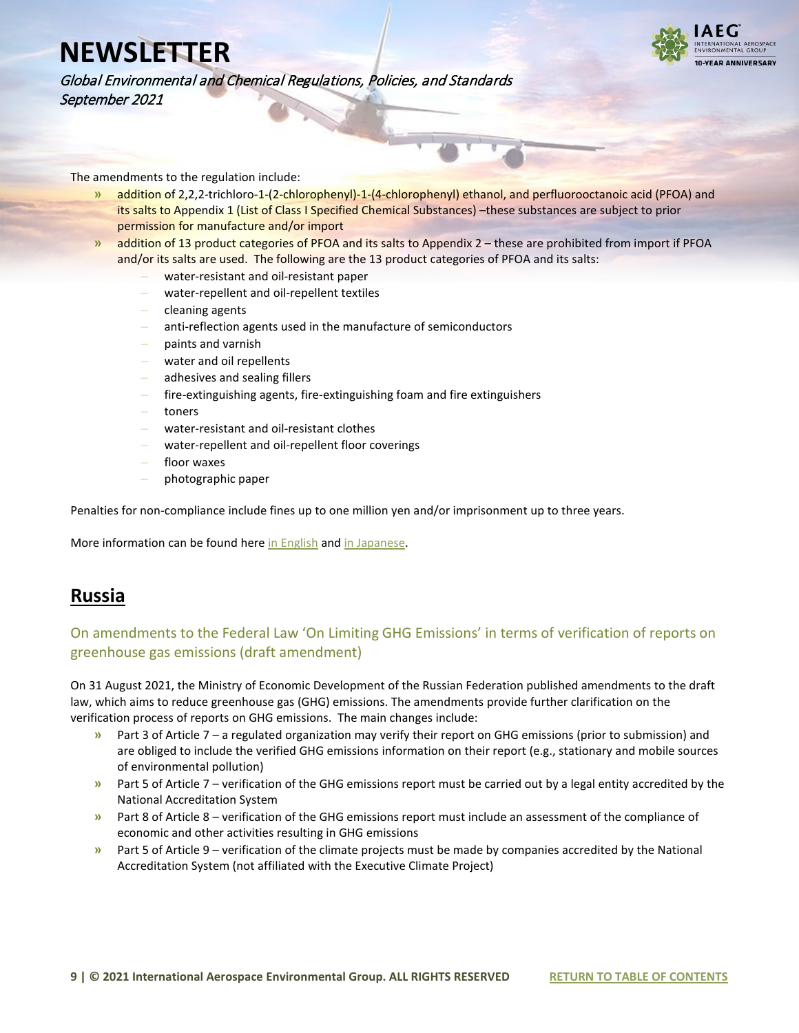

Global Environmental and Chemical Regulations, Policies, and Standards September 2021

The amendments to the regulation include:

- **»** addition of 2,2,2-trichloro-1-(2-chlorophenyl)-1-(4-chlorophenyl) ethanol, and perfluorooctanoic acid (PFOA) and its salts to Appendix 1 (List of Class I Specified Chemical Substances) –these substances are subject to prior permission for manufacture and/or import
- **»** addition of 13 product categories of PFOA and its salts to Appendix 2 these are prohibited from import if PFOA and/or its salts are used. The following are the 13 product categories of PFOA and its salts:
	- **–** water-resistant and oil-resistant paper
	- **–** water-repellent and oil-repellent textiles
	- **–** cleaning agents
	- **–** anti-reflection agents used in the manufacture of semiconductors
	- **–** paints and varnish
	- **–** water and oil repellents
	- **–** adhesives and sealing fillers
	- **–** fire-extinguishing agents, fire-extinguishing foam and fire extinguishers
	- **–** toners
	- **–** water-resistant and oil-resistant clothes
	- **–** water-repellent and oil-repellent floor coverings
	- **–** floor waxes
	- **–** photographic paper

Penalties for non-compliance include fines up to one million yen and/or imprisonment up to three years.

More information can be found her[e in English](https://www.iaeg.com/elements/pdf/JPN_Revision_on_Import_Clearance_Procedures_english.pdf) an[d in Japanese.](https://www.iaeg.com/elements/pdf/JPN_Revision_on_Import_Clearance_Procedures.pdf)

### <span id="page-8-0"></span>**Russia**

### <span id="page-8-1"></span>On amendments to the Federal Law 'On Limiting GHG Emissions' in terms of verification of reports on greenhouse gas emissions (draft amendment)

On 31 August 2021, the Ministry of Economic Development of the Russian Federation published amendments to the draft law, which aims to reduce greenhouse gas (GHG) emissions. The amendments provide further clarification on the verification process of reports on GHG emissions. The main changes include:

- **»** Part 3 of Article 7 a regulated organization may verify their report on GHG emissions (prior to submission) and are obliged to include the verified GHG emissions information on their report (e.g., stationary and mobile sources of environmental pollution)
- **»** Part 5 of Article 7 verification of the GHG emissions report must be carried out by a legal entity accredited by the National Accreditation System
- **»** Part 8 of Article 8 verification of the GHG emissions report must include an assessment of the compliance of economic and other activities resulting in GHG emissions
- **»** Part 5 of Article 9 verification of the climate projects must be made by companies accredited by the National Accreditation System (not affiliated with the Executive Climate Project)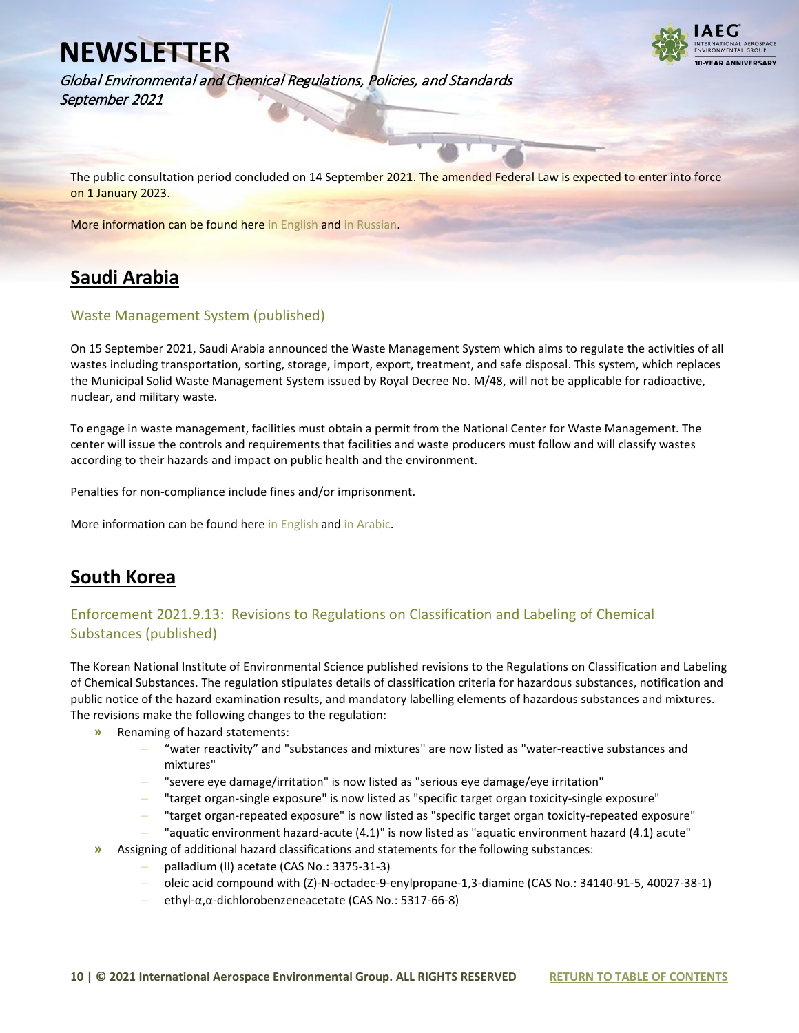Global Environmental and Chemical Regulations, Policies, and Standards September 2021



The public consultation period concluded on 14 September 2021. The amended Federal Law is expected to enter into force on 1 January 2023.

More information can be found her[e in English](https://www.iaeg.com/elements/pdf/RUS_Draft_amendment_on_limiting_GHG_emissions_english.pdf) an[d in Russian.](https://regulation.gov.ru/projects/List/AdvancedSearch#npa=119816) 

## <span id="page-9-0"></span>**Saudi Arabia**

### <span id="page-9-1"></span>Waste Management System (published)

On 15 September 2021, Saudi Arabia announced the Waste Management System which aims to regulate the activities of all wastes including transportation, sorting, storage, import, export, treatment, and safe disposal. This system, which replaces the Municipal Solid Waste Management System issued by Royal Decree No. M/48, will not be applicable for radioactive, nuclear, and military waste.

To engage in waste management, facilities must obtain a permit from the National Center for Waste Management. The center will issue the controls and requirements that facilities and waste producers must follow and will classify wastes according to their hazards and impact on public health and the environment.

Penalties for non-compliance include fines and/or imprisonment.

More information can be found her[e in English](https://www.iaeg.com/elements/pdf/SAU_Waste_Management_System_english.pdf) an[d in Arabic.](https://www.uqn.gov.sa/gh2/)

### <span id="page-9-2"></span>**South Korea**

### <span id="page-9-3"></span>Enforcement 2021.9.13: Revisions to Regulations on Classification and Labeling of Chemical Substances (published)

The Korean National Institute of Environmental Science published revisions to the Regulations on Classification and Labeling of Chemical Substances. The regulation stipulates details of classification criteria for hazardous substances, notification and public notice of the hazard examination results, and mandatory labelling elements of hazardous substances and mixtures. The revisions make the following changes to the regulation:

- **»** Renaming of hazard statements:
	- **–** "water reactivity" and "substances and mixtures" are now listed as "water-reactive substances and mixtures"
	- **–** "severe eye damage/irritation" is now listed as "serious eye damage/eye irritation"
	- **–** "target organ-single exposure" is now listed as "specific target organ toxicity-single exposure"
	- **–** "target organ-repeated exposure" is now listed as "specific target organ toxicity-repeated exposure"
	- **–** "aquatic environment hazard-acute (4.1)" is now listed as "aquatic environment hazard (4.1) acute"
- **»** Assigning of additional hazard classifications and statements for the following substances:
	- **–** palladium (II) acetate (CAS No.: 3375-31-3)
	- **–** oleic acid compound with (Z)-N-octadec-9-enylpropane-1,3-diamine (CAS No.: 34140-91-5, 40027-38-1)
	- **–** ethyl-α,α-dichlorobenzeneacetate (CAS No.: 5317-66-8)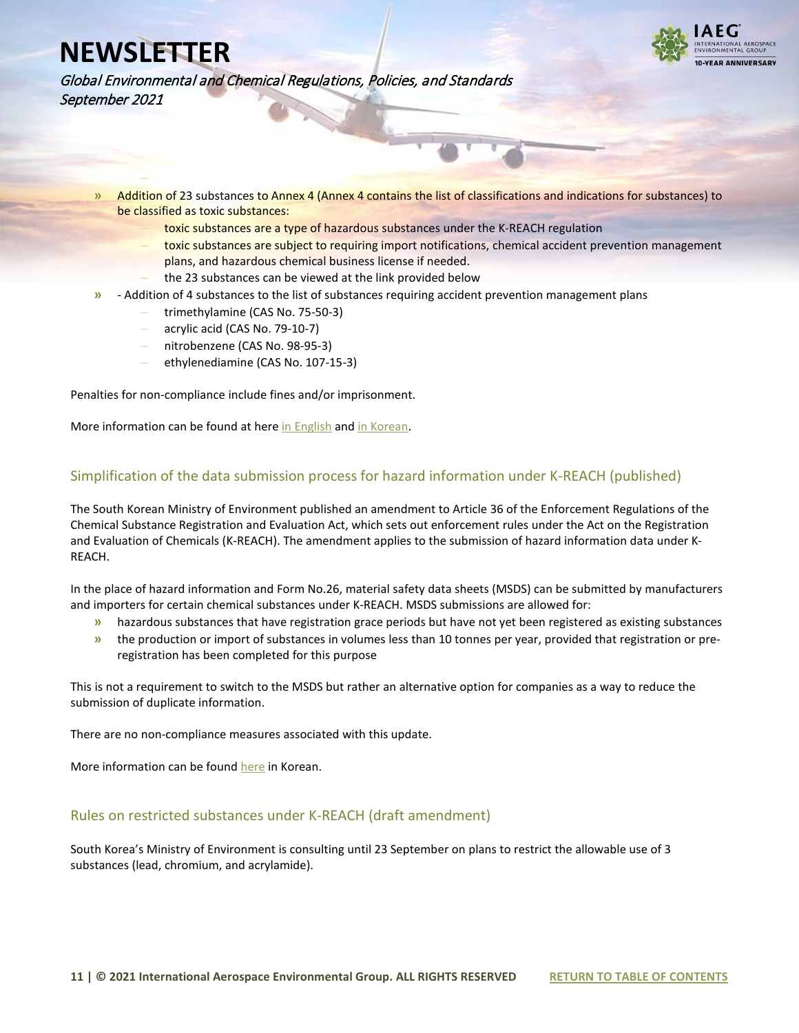**–**



Global Environmental and Chemical Regulations, Policies, and Standards September 2021

- **»** Addition of 23 substances to Annex 4 (Annex 4 contains the list of classifications and indications for substances) to be classified as toxic substances:
	- **–** toxic substances are a type of hazardous substances under the K-REACH regulation
	- **–** toxic substances are subject to requiring import notifications, chemical accident prevention management plans, and hazardous chemical business license if needed.
	- **–** the 23 substances can be viewed at the link provided below
- **»** Addition of 4 substances to the list of substances requiring accident prevention management plans
	- **–** trimethylamine (CAS No. 75-50-3)
		- **–** acrylic acid (CAS No. 79-10-7)
		- **–** nitrobenzene (CAS No. 98-95-3)
		- **–** ethylenediamine (CAS No. 107-15-3)

Penalties for non-compliance include fines and/or imprisonment.

More information can be found at here [in English](https://www.iaeg.com/elements/pdf/KOR_Amendment_Regulations_on_Classification_and_Labeling_english.pdf) and [in Korean.](https://www.law.go.kr/LSW/admRulLsInfoP.do?chrClsCd=&admRulSeq=2100000204516#AJAX)

#### <span id="page-10-0"></span>Simplification of the data submission process for hazard information under K-REACH (published)

The South Korean Ministry of Environment published an amendment to Article 36 of the Enforcement Regulations of the Chemical Substance Registration and Evaluation Act, which sets out enforcement rules under the Act on the Registration and Evaluation of Chemicals (K-REACH). The amendment applies to the submission of hazard information data under K-REACH.

In the place of hazard information and Form No.26, material safety data sheets (MSDS) can be submitted by manufacturers and importers for certain chemical substances under K-REACH. MSDS submissions are allowed for:

- **»** hazardous substances that have registration grace periods but have not yet been registered as existing substances
- **»** the production or import of substances in volumes less than 10 tonnes per year, provided that registration or preregistration has been completed for this purpose

This is not a requirement to switch to the MSDS but rather an alternative option for companies as a way to reduce the submission of duplicate information.

There are no non-compliance measures associated with this update.

More information can be foun[d here](https://www.chemnavi.or.kr/chemnavi/spboard/noticedetail.do?idx=55671) in Korean.

#### <span id="page-10-1"></span>Rules on restricted substances under K-REACH (draft amendment)

South Korea's Ministry of Environment is consulting until 23 September on plans to restrict the allowable use of 3 substances (lead, chromium, and acrylamide).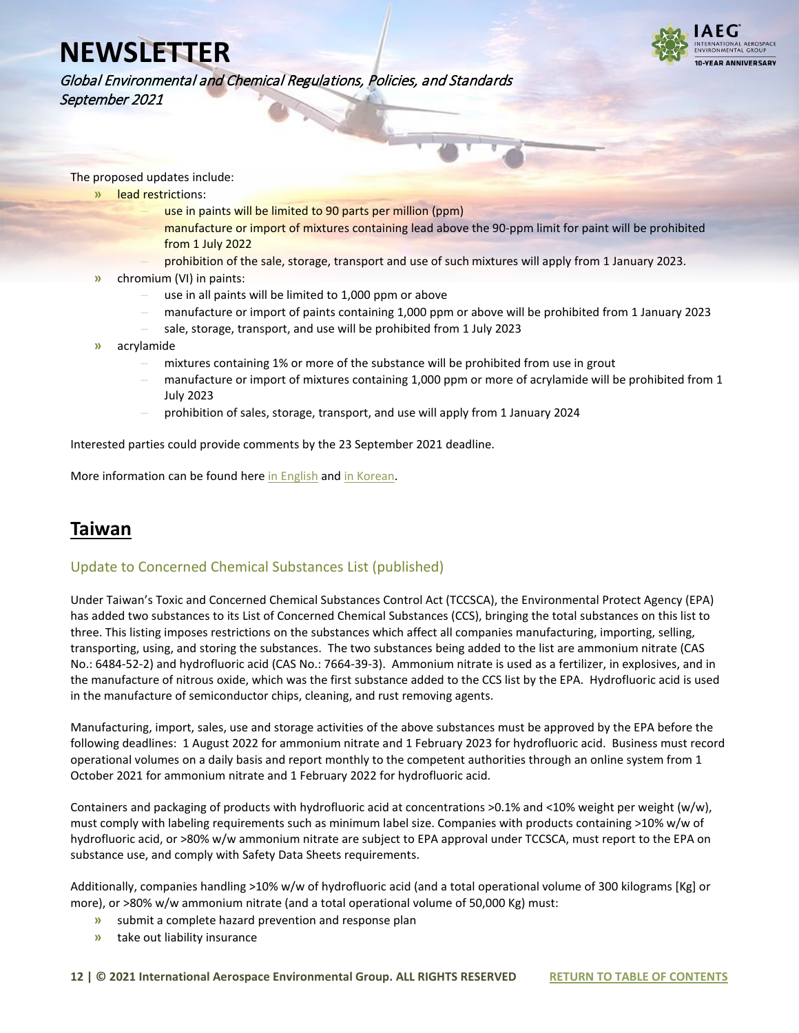

Global Environmental and Chemical Regulations, Policies, and Standards September 2021

The proposed updates include:

- **»** lead restrictions:
	- **–** use in paints will be limited to 90 parts per million (ppm)
	- **–** manufacture or import of mixtures containing lead above the 90-ppm limit for paint will be prohibited from 1 July 2022
	- **–** prohibition of the sale, storage, transport and use of such mixtures will apply from 1 January 2023.
- **»** chromium (VI) in paints:
	- **–** use in all paints will be limited to 1,000 ppm or above
	- **–** manufacture or import of paints containing 1,000 ppm or above will be prohibited from 1 January 2023
	- **–** sale, storage, transport, and use will be prohibited from 1 July 2023
- **»** acrylamide
	- **–** mixtures containing 1% or more of the substance will be prohibited from use in grout
	- **–** manufacture or import of mixtures containing 1,000 ppm or more of acrylamide will be prohibited from 1 July 2023
	- **–** prohibition of sales, storage, transport, and use will apply from 1 January 2024

Interested parties could provide comments by the 23 September 2021 deadline.

More information can be found her[e in English](https://www.iaeg.com/elements/pdf/KOR_Draft_Amendment_K-REACH_restrictions_english.pdf) an[d in Korean.](https://www.iaeg.com/elements/pdf/KOR_Draft_Amendment_K-REACH_restrictions.pdf)

### <span id="page-11-0"></span>**Taiwan**

#### <span id="page-11-1"></span>Update to Concerned Chemical Substances List (published)

Under Taiwan's Toxic and Concerned Chemical Substances Control Act (TCCSCA), the Environmental Protect Agency (EPA) has added two substances to its List of Concerned Chemical Substances (CCS), bringing the total substances on this list to three. This listing imposes restrictions on the substances which affect all companies manufacturing, importing, selling, transporting, using, and storing the substances. The two substances being added to the list are ammonium nitrate (CAS No.: 6484-52-2) and hydrofluoric acid (CAS No.: 7664-39-3). Ammonium nitrate is used as a fertilizer, in explosives, and in the manufacture of nitrous oxide, which was the first substance added to the CCS list by the EPA. Hydrofluoric acid is used in the manufacture of semiconductor chips, cleaning, and rust removing agents.

Manufacturing, import, sales, use and storage activities of the above substances must be approved by the EPA before the following deadlines: 1 August 2022 for ammonium nitrate and 1 February 2023 for hydrofluoric acid. Business must record operational volumes on a daily basis and report monthly to the competent authorities through an online system from 1 October 2021 for ammonium nitrate and 1 February 2022 for hydrofluoric acid.

Containers and packaging of products with hydrofluoric acid at concentrations >0.1% and <10% weight per weight (w/w), must comply with labeling requirements such as minimum label size. Companies with products containing >10% w/w of hydrofluoric acid, or >80% w/w ammonium nitrate are subject to EPA approval under TCCSCA, must report to the EPA on substance use, and comply with Safety Data Sheets requirements.

Additionally, companies handling >10% w/w of hydrofluoric acid (and a total operational volume of 300 kilograms [Kg] or more), or >80% w/w ammonium nitrate (and a total operational volume of 50,000 Kg) must:

- **»** submit a complete hazard prevention and response plan
- **»** take out liability insurance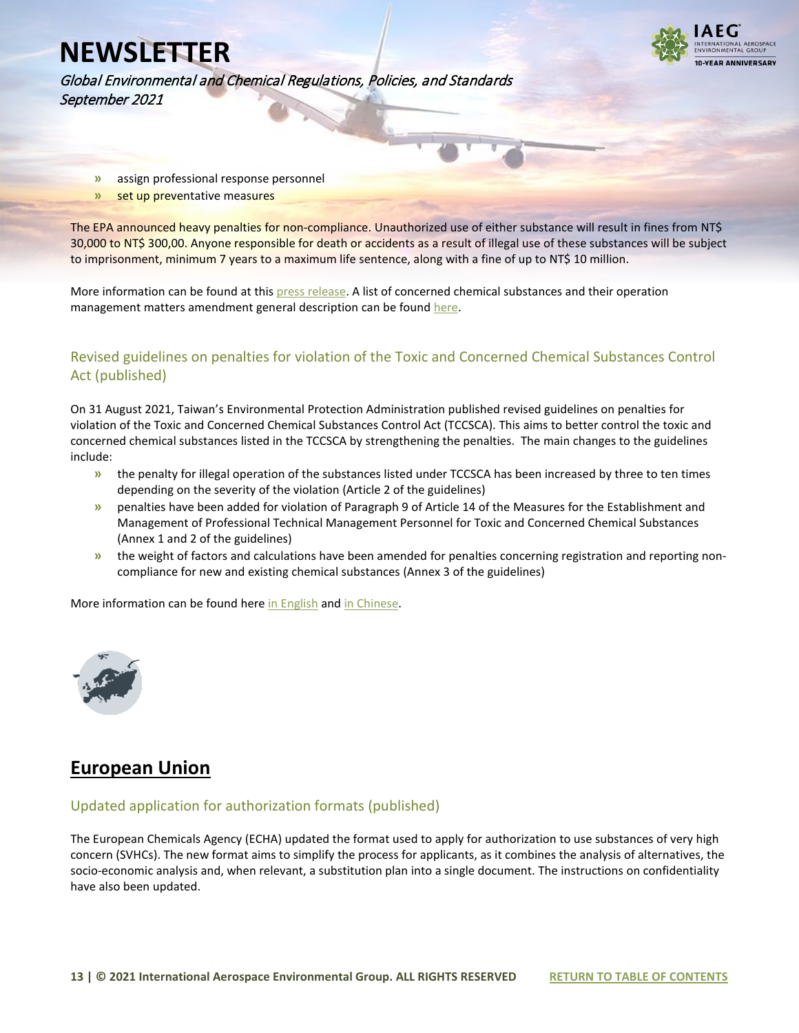

Global Environmental and Chemical Regulations, Policies, and Standards September 2021

- **»** assign professional response personnel
- **»** set up preventative measures

The EPA announced heavy penalties for non-compliance. Unauthorized use of either substance will result in fines from NT\$ 30,000 to NT\$ 300,00. Anyone responsible for death or accidents as a result of illegal use of these substances will be subject to imprisonment, minimum 7 years to a maximum life sentence, along with a fine of up to NT\$ 10 million.

More information can be found at this [press release.](https://www.iaeg.com/elements/pdf/TWN_Update_to_Concerned_Chemical_Substances_List-EPA_Release_english.pdf) A list of concerned chemical substances and their operation management matters amendment general description can be foun[d here.](https://www.iaeg.com/elements/pdf/TWN_Update_to_Concerned_Chemical_Substances_List-Operation_Management_english.pdf)

### <span id="page-12-0"></span>Revised guidelines on penalties for violation of the Toxic and Concerned Chemical Substances Control Act (published)

On 31 August 2021, Taiwan's Environmental Protection Administration published revised guidelines on penalties for violation of the Toxic and Concerned Chemical Substances Control Act (TCCSCA). This aims to better control the toxic and concerned chemical substances listed in the TCCSCA by strengthening the penalties. The main changes to the guidelines include:

- **»** the penalty for illegal operation of the substances listed under TCCSCA has been increased by three to ten times depending on the severity of the violation (Article 2 of the guidelines)
- **»** penalties have been added for violation of Paragraph 9 of Article 14 of the Measures for the Establishment and Management of Professional Technical Management Personnel for Toxic and Concerned Chemical Substances (Annex 1 and 2 of the guidelines)
- **»** the weight of factors and calculations have been amended for penalties concerning registration and reporting noncompliance for new and existing chemical substances (Annex 3 of the guidelines)

More information can be found her[e in English](https://www.iaeg.com/elements/pdf/TWN_Revised_Guidelines_on_Penalties_for_TCCSCA_english.pdf) and in Chinese.

<span id="page-12-1"></span>

### <span id="page-12-2"></span>**European Union**

#### <span id="page-12-3"></span>Updated application for authorization formats (published)

The European Chemicals Agency (ECHA) updated the format used to apply for authorization to use substances of very high concern (SVHCs). The new format aims to simplify the process for applicants, as it combines the analysis of alternatives, the socio-economic analysis and, when relevant, a substitution plan into a single document. The instructions on confidentiality have also been updated.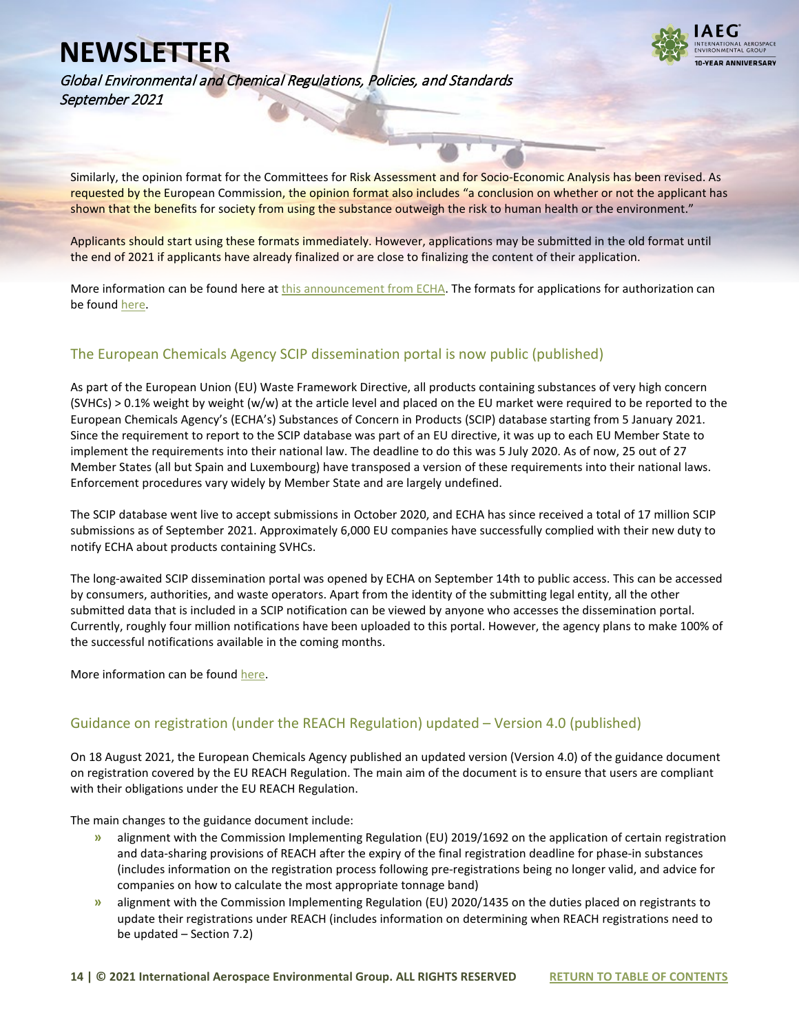

Global Environmental and Chemical Regulations, Policies, and Standards September 2021

Similarly, the opinion format for the Committees for Risk Assessment and for Socio-Economic Analysis has been revised. As requested by the European Commission, the opinion format also includes "a conclusion on whether or not the applicant has shown that the benefits for society from using the substance outweigh the risk to human health or the environment."

Applicants should start using these formats immediately. However, applications may be submitted in the old format until the end of 2021 if applicants have already finalized or are close to finalizing the content of their application.

More information can be found here at [this announcement](https://echa.europa.eu/hr/-/updated-application-for-authorisation-formats) from ECHA. The formats for applications for authorization can be found here.

### <span id="page-13-0"></span>The European Chemicals Agency SCIP dissemination portal is now public (published)

As part of the European Union (EU) Waste Framework Directive, all products containing substances of very high concern (SVHCs) > 0.1% weight by weight (w/w) at the article level and placed on the EU market were required to be reported to the European Chemicals Agency's (ECHA's) Substances of Concern in Products (SCIP) database starting from 5 January 2021. Since the requirement to report to the SCIP database was part of an EU directive, it was up to each EU Member State to implement the requirements into their national law. The deadline to do this was 5 July 2020. As of now, 25 out of 27 Member States (all but Spain and Luxembourg) have transposed a version of these requirements into their national laws. Enforcement procedures vary widely by Member State and are largely undefined.

The SCIP database went live to accept submissions in October 2020, and ECHA has since received a total of 17 million SCIP submissions as of September 2021. Approximately 6,000 EU companies have successfully complied with their new duty to notify ECHA about products containing SVHCs.

The long-awaited SCIP dissemination portal was opened by ECHA on September 14th to public access. This can be accessed by consumers, authorities, and waste operators. Apart from the identity of the submitting legal entity, all the other submitted data that is included in a SCIP notification can be viewed by anyone who accesses the dissemination portal. Currently, roughly four million notifications have been uploaded to this portal. However, the agency plans to make 100% of the successful notifications available in the coming months.

More information can be foun[d here.](https://echa.europa.eu/hr/-/know-more-about-hazardous-chemicals-in-products-scip-data-published)

#### <span id="page-13-1"></span>Guidance on registration (under the REACH Regulation) updated – Version 4.0 (published)

On 18 August 2021, the European Chemicals Agency published an updated version (Version 4.0) of the guidance document on registration covered by the EU REACH Regulation. The main aim of the document is to ensure that users are compliant with their obligations under the EU REACH Regulation.

The main changes to the guidance document include:

- **»** alignment with the Commission Implementing Regulation (EU) 2019/1692 on the application of certain registration and data-sharing provisions of REACH after the expiry of the final registration deadline for phase-in substances (includes information on the registration process following pre-registrations being no longer valid, and advice for companies on how to calculate the most appropriate tonnage band)
- **»** alignment with the Commission Implementing Regulation (EU) 2020/1435 on the duties placed on registrants to update their registrations under REACH (includes information on determining when REACH registrations need to be updated – Section 7.2)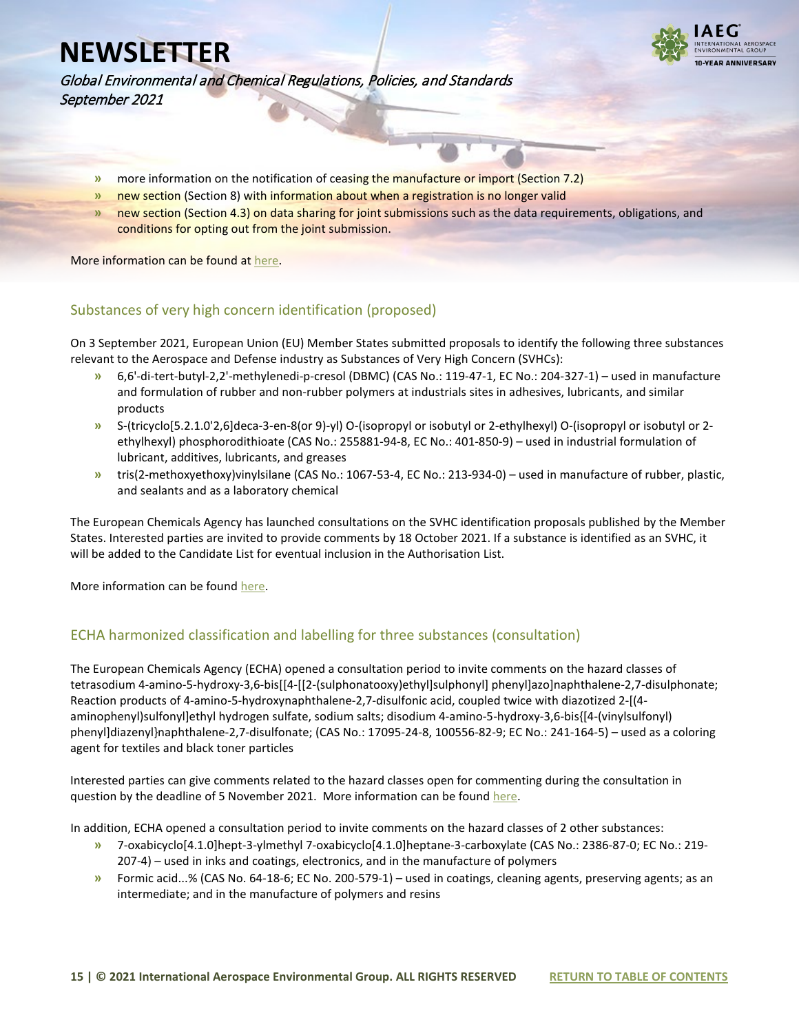

Global Environmental and Chemical Regulations, Policies, and Standards September 2021

- **»** more information on the notification of ceasing the manufacture or import (Section 7.2)
- **»** new section (Section 8) with information about when a registration is no longer valid
- **»** new section (Section 4.3) on data sharing for joint submissions such as the data requirements, obligations, and conditions for opting out from the joint submission.

More information can be found at [here.](https://echa.europa.eu/hr/-/guidance-on-registration-updated)

#### <span id="page-14-0"></span>Substances of very high concern identification (proposed)

On 3 September 2021, European Union (EU) Member States submitted proposals to identify the following three substances relevant to the Aerospace and Defense industry as Substances of Very High Concern (SVHCs):

- **»** 6,6'-di-tert-butyl-2,2'-methylenedi-p-cresol (DBMC) (CAS No.: 119-47-1, EC No.: 204-327-1) used in manufacture and formulation of rubber and non-rubber polymers at industrials sites in adhesives, lubricants, and similar products
- **»** S-(tricyclo[5.2.1.0'2,6]deca-3-en-8(or 9)-yl) O-(isopropyl or isobutyl or 2-ethylhexyl) O-(isopropyl or isobutyl or 2 ethylhexyl) phosphorodithioate (CAS No.: 255881-94-8, EC No.: 401-850-9) – used in industrial formulation of lubricant, additives, lubricants, and greases
- **»** tris(2-methoxyethoxy)vinylsilane (CAS No.: 1067-53-4, EC No.: 213-934-0) used in manufacture of rubber, plastic, and sealants and as a laboratory chemical

The European Chemicals Agency has launched consultations on the SVHC identification proposals published by the Member States. Interested parties are invited to provide comments by 18 October 2021. If a substance is identified as an SVHC, it will be added to the Candidate List for eventual inclusion in the Authorisation List.

More information can be foun[d here.](https://echa.europa.eu/substances-of-very-high-concern-identification)

#### <span id="page-14-1"></span>ECHA harmonized classification and labelling for three substances (consultation)

The European Chemicals Agency (ECHA) opened a consultation period to invite comments on the hazard classes of tetrasodium 4-amino-5-hydroxy-3,6-bis[[4-[[2-(sulphonatooxy)ethyl]sulphonyl] phenyl]azo]naphthalene-2,7-disulphonate; Reaction products of 4-amino-5-hydroxynaphthalene-2,7-disulfonic acid, coupled twice with diazotized 2-[(4 aminophenyl)sulfonyl]ethyl hydrogen sulfate, sodium salts; disodium 4-amino-5-hydroxy-3,6-bis{[4-(vinylsulfonyl) phenyl]diazenyl}naphthalene-2,7-disulfonate; (CAS No.: 17095-24-8, 100556-82-9; EC No.: 241-164-5) – used as a coloring agent for textiles and black toner particles

Interested parties can give comments related to the hazard classes open for commenting during the consultation in question by the deadline of 5 November 2021. More information can be found [here.](https://echa.europa.eu/harmonised-classification-and-labelling-consultation/-/substance-rev/66602/del/50/col/synonymDynamicField_1350/type/desc/pre/1/view)

In addition, ECHA opened a consultation period to invite comments on the hazard classes of 2 other substances:

- **»** 7-oxabicyclo[4.1.0]hept-3-ylmethyl 7-oxabicyclo[4.1.0]heptane-3-carboxylate (CAS No.: 2386-87-0; EC No.: 219- 207-4) – used in inks and coatings, electronics, and in the manufacture of polymers
- **»** Formic acid...% (CAS No. 64-18-6; EC No. 200-579-1) used in coatings, cleaning agents, preserving agents; as an intermediate; and in the manufacture of polymers and resins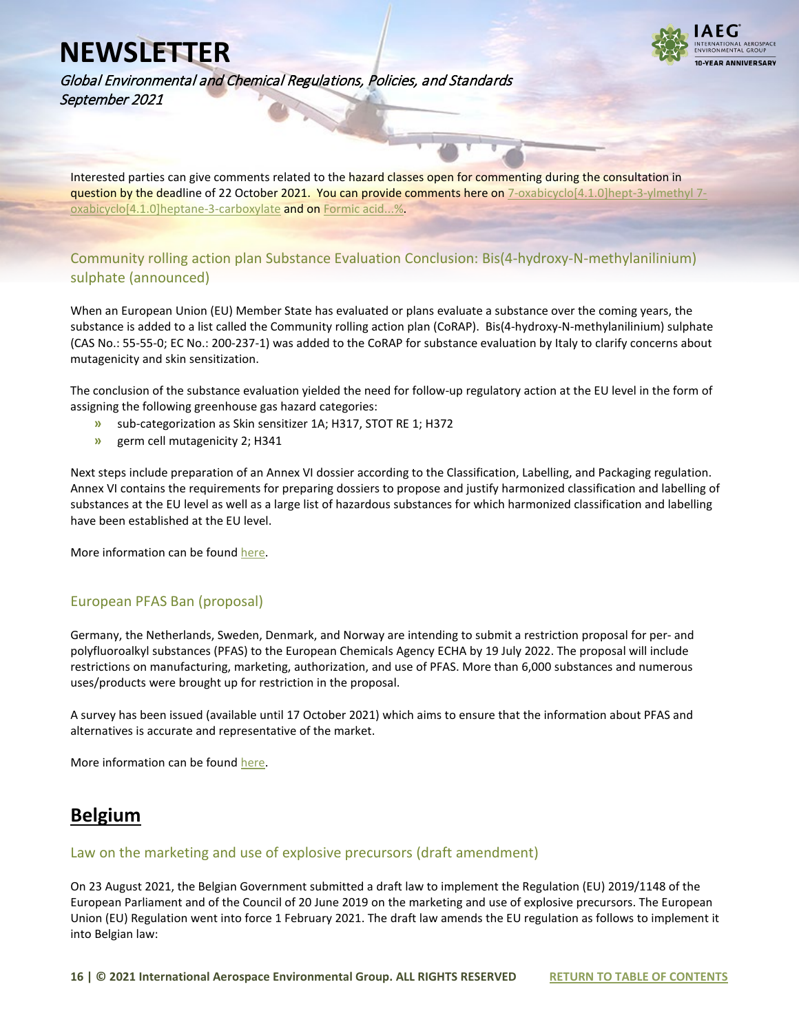

Global Environmental and Chemical Regulations, Policies, and Standards September 2021

Interested parties can give comments related to the hazard classes open for commenting during the consultation in question by the deadline of 22 October 2021. You can provide comments here on [7-oxabicyclo\[4.1.0\]hept-3-ylmethyl 7](https://comments.echa.europa.eu/comments_cms/AnnexXVCLH.aspx?RObjectId=0b0236e18544ff7e) [oxabicyclo\[4.1.0\]heptane-3-carboxylate](https://comments.echa.europa.eu/comments_cms/AnnexXVCLH.aspx?RObjectId=0b0236e18544ff7e) and on [Formic acid...%.](https://comments.echa.europa.eu/comments_cms/AnnexXVCLH.aspx?RObjectId=0b0236e180fa9c7a)

#### <span id="page-15-0"></span>Community rolling action plan Substance Evaluation Conclusion: Bis(4-hydroxy-N-methylanilinium) sulphate (announced)

When an European Union (EU) Member State has evaluated or plans evaluate a substance over the coming years, the substance is added to a list called the Community rolling action plan (CoRAP). Bis(4-hydroxy-N-methylanilinium) sulphate (CAS No.: 55-55-0; EC No.: 200-237-1) was added to the CoRAP for substance evaluation by Italy to clarify concerns about mutagenicity and skin sensitization.

The conclusion of the substance evaluation yielded the need for follow-up regulatory action at the EU level in the form of assigning the following greenhouse gas hazard categories:

- **»** sub-categorization as Skin sensitizer 1A; H317, STOT RE 1; H372
- **»** germ cell mutagenicity 2; H341

Next steps include preparation of an Annex VI dossier according to the Classification, Labelling, and Packaging regulation. Annex VI contains the requirements for preparing dossiers to propose and justify harmonized classification and labelling of substances at the EU level as well as a large list of hazardous substances for which harmonized classification and labelling have been established at the EU level.

More information can be foun[d here.](https://echa.europa.eu/information-on-chemicals/evaluation/community-rolling-action-plan/corap-table/-/dislist/details/0b0236e183fc7542)

#### <span id="page-15-1"></span>European PFAS Ban (proposal)

Germany, the Netherlands, Sweden, Denmark, and Norway are intending to submit a restriction proposal for per- and polyfluoroalkyl substances (PFAS) to the European Chemicals Agency ECHA by 19 July 2022. The proposal will include restrictions on manufacturing, marketing, authorization, and use of PFAS. More than 6,000 substances and numerous uses/products were brought up for restriction in the proposal.

A survey has been issued (available until 17 October 2021) which aims to ensure that the information about PFAS and alternatives is accurate and representative of the market.

More information can be foun[d here.](https://www.rivm.nl/en/pfas/official-start-to-ban-pfas-in-europe)

### <span id="page-15-2"></span>**Belgium**

#### <span id="page-15-3"></span>Law on the marketing and use of explosive precursors (draft amendment)

On 23 August 2021, the Belgian Government submitted a draft law to implement the Regulation (EU) 2019/1148 of the European Parliament and of the Council of 20 June 2019 on the marketing and use of explosive precursors. The European Union (EU) Regulation went into force 1 February 2021. The draft law amends the EU regulation as follows to implement it into Belgian law: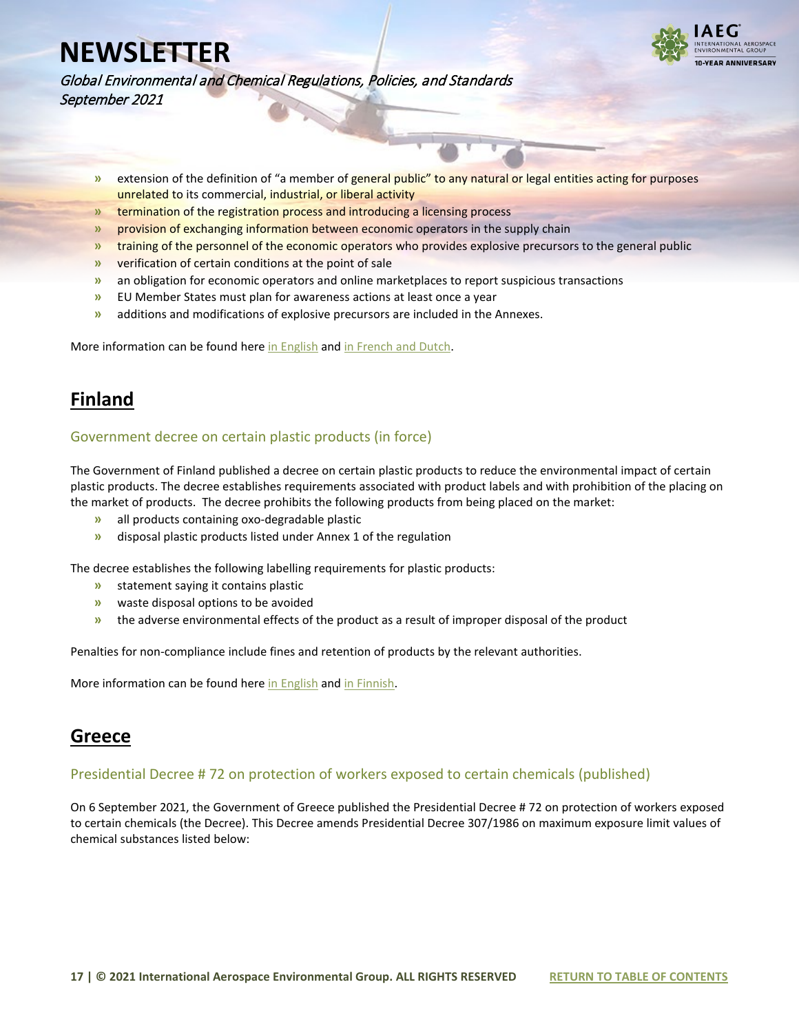

Global Environmental and Chemical Regulations, Policies, and Standards September 2021

- **»** extension of the definition of "a member of general public" to any natural or legal entities acting for purposes unrelated to its commercial, industrial, or liberal activity
- **»** termination of the registration process and introducing a licensing process
- **»** provision of exchanging information between economic operators in the supply chain
- **»** training of the personnel of the economic operators who provides explosive precursors to the general public
- **»** verification of certain conditions at the point of sale
- **»** an obligation for economic operators and online marketplaces to report suspicious transactions
- **»** EU Member States must plan for awareness actions at least once a year
- **»** additions and modifications of explosive precursors are included in the Annexes.

More information can be found her[e in English](https://www.iaeg.com/elements/pdf/BEL_Draft_law_Explosive_precursors_english.pdf) and in French and Dutch.

## <span id="page-16-0"></span>**Finland**

#### <span id="page-16-1"></span>Government decree on certain plastic products (in force)

The Government of Finland published a decree on certain plastic products to reduce the environmental impact of certain plastic products. The decree establishes requirements associated with product labels and with prohibition of the placing on the market of products. The decree prohibits the following products from being placed on the market:

- **»** all products containing oxo-degradable plastic
- **»** disposal plastic products listed under Annex 1 of the regulation

The decree establishes the following labelling requirements for plastic products:

- **»** statement saying it contains plastic
- **»** waste disposal options to be avoided
- **»** the adverse environmental effects of the product as a result of improper disposal of the product

Penalties for non-compliance include fines and retention of products by the relevant authorities.

More information can be found her[e in English](https://www.iaeg.com/elements/pdf/FIN_Government_Decree_on_Certain_Plastic_Products_english.pdf) an[d in Finnish.](https://www.iaeg.com/elements/pdf/FIN_Government_Decree_on_Certain_Plastic_Products.pdf) 

### <span id="page-16-2"></span>**Greece**

#### <span id="page-16-3"></span>Presidential Decree # 72 on protection of workers exposed to certain chemicals (published)

On 6 September 2021, the Government of Greece published the Presidential Decree # 72 on protection of workers exposed to certain chemicals (the Decree). This Decree amends Presidential Decree 307/1986 on maximum exposure limit values of chemical substances listed below: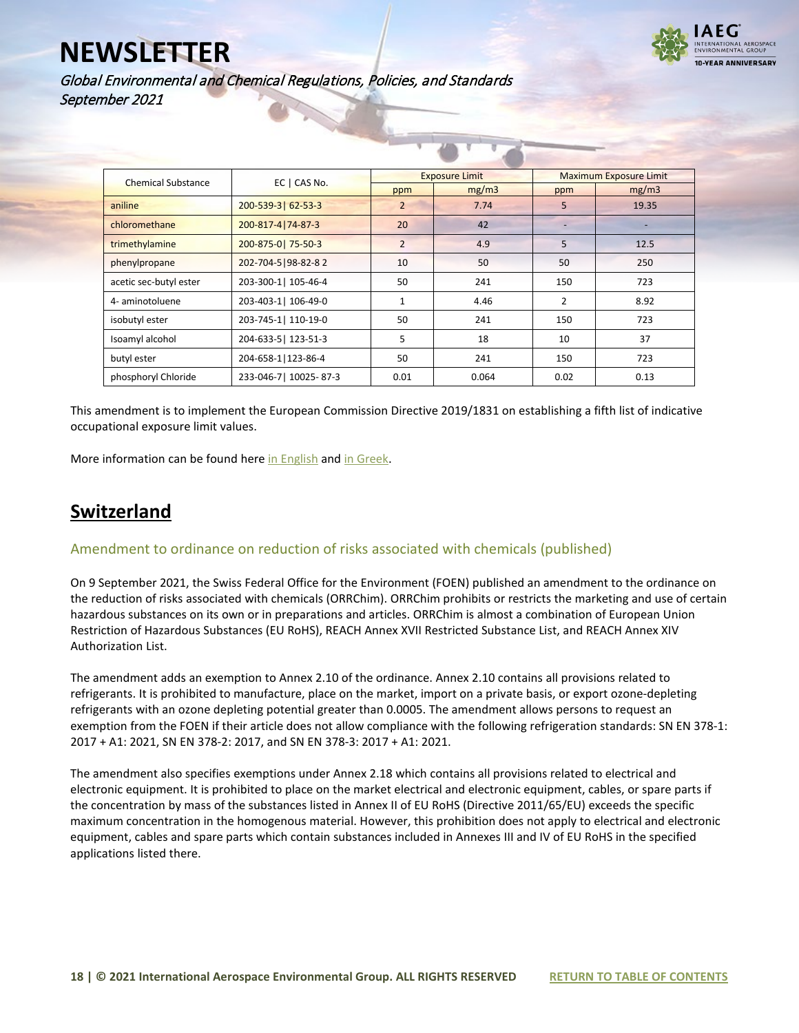

Global Environmental and Chemical Regulations, Policies, and Standards September 2021

| <b>Chemical Substance</b> | EC   CAS No.          |                | <b>Exposure Limit</b> | <b>Maximum Exposure Limit</b> |       |  |
|---------------------------|-----------------------|----------------|-----------------------|-------------------------------|-------|--|
|                           |                       | ppm            | mg/m3                 | ppm                           | mg/m3 |  |
| aniline                   | 200-539-3  62-53-3    | $\overline{2}$ | 7.74                  | 5                             | 19.35 |  |
| chloromethane             | 200-817-4 74-87-3     | 20             | 42                    |                               |       |  |
| trimethylamine            | 200-875-0  75-50-3    | $\overline{2}$ | 4.9                   | 5                             | 12.5  |  |
| phenylpropane             | 202-704-5 98-82-82    | 10             | 50                    | 50                            | 250   |  |
| acetic sec-butyl ester    | 203-300-1  105-46-4   | 50             | 241                   | 150                           | 723   |  |
| 4- aminotoluene           | 203-403-1  106-49-0   | 1              | 4.46                  | $\overline{2}$                | 8.92  |  |
| isobutyl ester            | 203-745-1  110-19-0   | 50             | 241                   | 150                           | 723   |  |
| Isoamyl alcohol           | 204-633-5  123-51-3   | 5              | 18                    | 10                            | 37    |  |
| butyl ester               | 204-658-1   123-86-4  | 50             | 241                   | 150                           | 723   |  |
| phosphoryl Chloride       | 233-046-7  10025-87-3 | 0.01           | 0.064                 | 0.02                          | 0.13  |  |

This amendment is to implement the European Commission Directive 2019/1831 on establishing a fifth list of indicative occupational exposure limit values.

More information can be found her[e in English](https://www.iaeg.com/elements/pdf/GRC_Decree_on_Exposure_Limits_english.pdf) an[d in Greek.](https://www.iaeg.com/elements/pdf/GRC_Decree_on_Exposure_Limits.pdf)

## <span id="page-17-0"></span>**Switzerland**

#### <span id="page-17-1"></span>Amendment to ordinance on reduction of risks associated with chemicals (published)

On 9 September 2021, the Swiss Federal Office for the Environment (FOEN) published an amendment to the ordinance on the reduction of risks associated with chemicals (ORRChim). ORRChim prohibits or restricts the marketing and use of certain hazardous substances on its own or in preparations and articles. ORRChim is almost a combination of European Union Restriction of Hazardous Substances (EU RoHS), REACH Annex XVII Restricted Substance List, and REACH Annex XIV Authorization List.

The amendment adds an exemption to Annex 2.10 of the ordinance. Annex 2.10 contains all provisions related to refrigerants. It is prohibited to manufacture, place on the market, import on a private basis, or export ozone-depleting refrigerants with an ozone depleting potential greater than 0.0005. The amendment allows persons to request an exemption from the FOEN if their article does not allow compliance with the following refrigeration standards: SN EN 378-1: 2017 + A1: 2021, SN EN 378-2: 2017, and SN EN 378-3: 2017 + A1: 2021.

The amendment also specifies exemptions under Annex 2.18 which contains all provisions related to electrical and electronic equipment. It is prohibited to place on the market electrical and electronic equipment, cables, or spare parts if the concentration by mass of the substances listed in Annex II of EU RoHS (Directive 2011/65/EU) exceeds the specific maximum concentration in the homogenous material. However, this prohibition does not apply to electrical and electronic equipment, cables and spare parts which contain substances included in Annexes III and IV of EU RoHS in the specified applications listed there.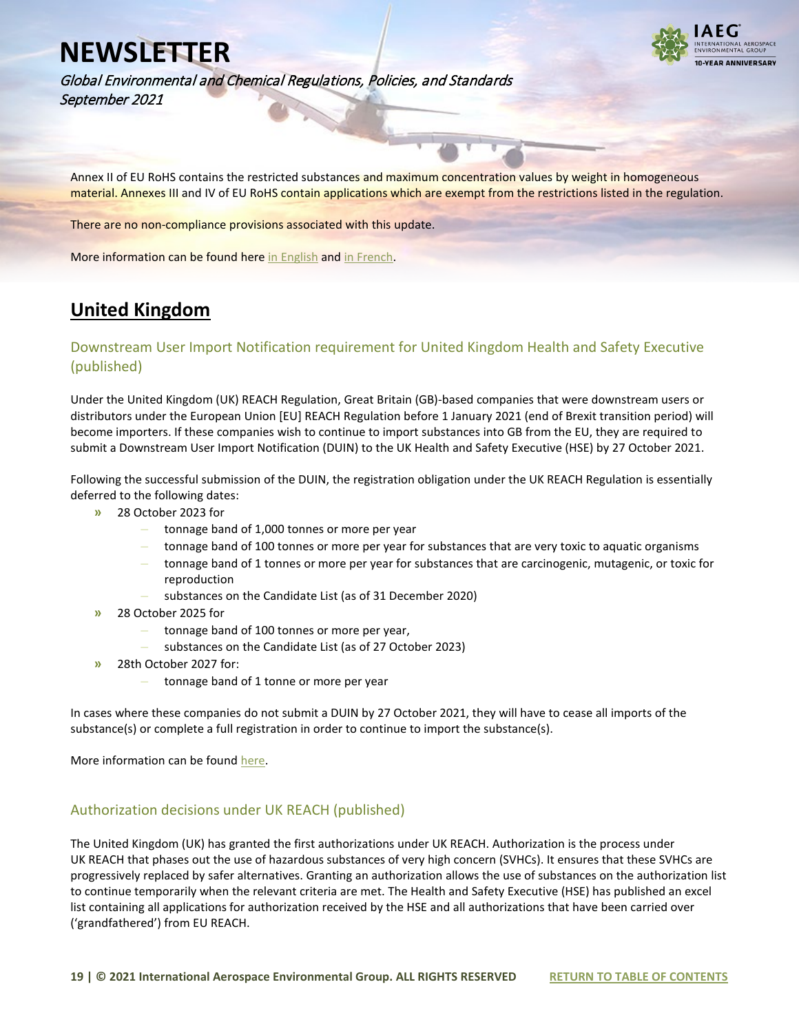

Global Environmental and Chemical Regulations, Policies, and Standards September 2021

Annex II of EU RoHS contains the restricted substances and maximum concentration values by weight in homogeneous material. Annexes III and IV of EU RoHS contain applications which are exempt from the restrictions listed in the regulation.

There are no non-compliance provisions associated with this update.

More information can be found her[e in English](https://www.iaeg.com/elements/pdf/CHE_ORRChim_Amendment_english.pdf) and in French.

### <span id="page-18-0"></span>**United Kingdom**

#### <span id="page-18-1"></span>Downstream User Import Notification requirement for United Kingdom Health and Safety Executive (published)

Under the United Kingdom (UK) REACH Regulation, Great Britain (GB)-based companies that were downstream users or distributors under the European Union [EU] REACH Regulation before 1 January 2021 (end of Brexit transition period) will become importers. If these companies wish to continue to import substances into GB from the EU, they are required to submit a Downstream User Import Notification (DUIN) to the UK Health and Safety Executive (HSE) by 27 October 2021.

Following the successful submission of the DUIN, the registration obligation under the UK REACH Regulation is essentially deferred to the following dates:

- **»** 28 October 2023 for
	- **–** tonnage band of 1,000 tonnes or more per year
	- **–** tonnage band of 100 tonnes or more per year for substances that are very toxic to aquatic organisms
	- **–** tonnage band of 1 tonnes or more per year for substances that are carcinogenic, mutagenic, or toxic for reproduction
	- **–** substances on the Candidate List (as of 31 December 2020)
- **»** 28 October 2025 for
	- **–** tonnage band of 100 tonnes or more per year,
	- **–** substances on the Candidate List (as of 27 October 2023)
- **»** 28th October 2027 for:
	- **–** tonnage band of 1 tonne or more per year

In cases where these companies do not submit a DUIN by 27 October 2021, they will have to cease all imports of the substance(s) or complete a full registration in order to continue to import the substance(s).

More information can be foun[d here.](https://www.hse.gov.uk/reach/duin.htm)

#### <span id="page-18-2"></span>Authorization decisions under UK REACH (published)

The United Kingdom (UK) has granted the first authorizations under UK REACH. Authorization is the process under UK REACH that phases out the use of hazardous substances of very high concern (SVHCs). It ensures that these SVHCs are progressively replaced by safer alternatives. Granting an authorization allows the use of substances on the authorization list to continue temporarily when the relevant criteria are met. The Health and Safety Executive (HSE) has published an excel list containing all applications for authorization received by the HSE and all authorizations that have been carried over ('grandfathered') from EU REACH.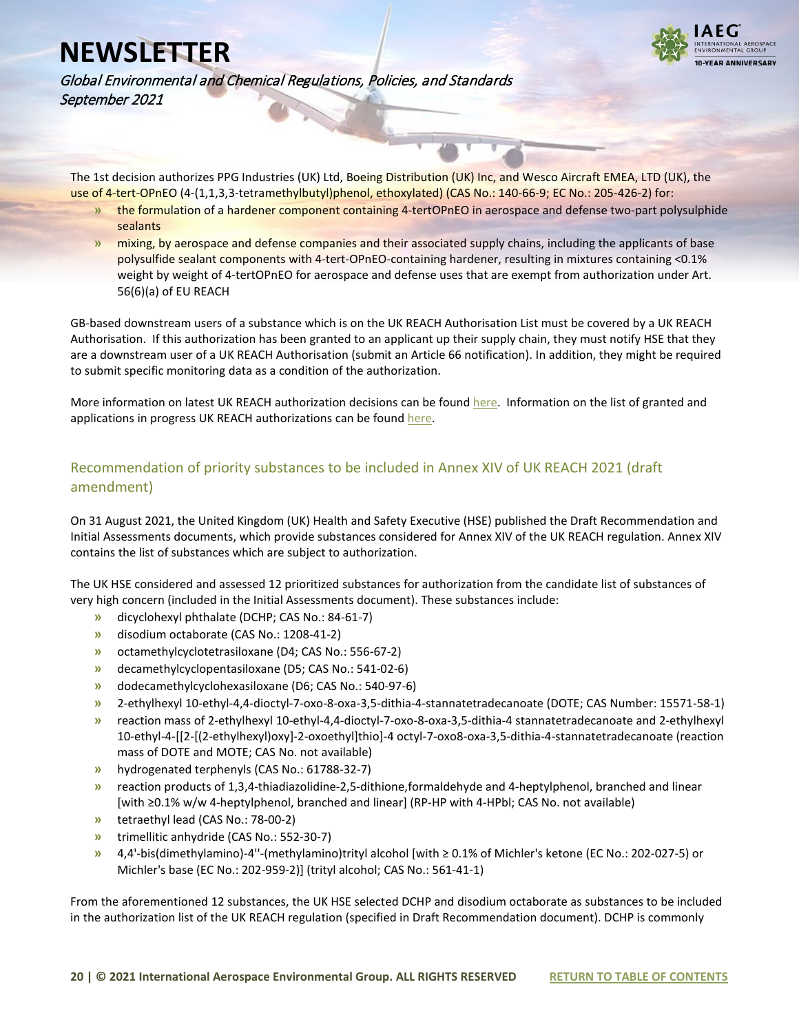

Global Environmental and Chemical Regulations, Policies, and Standards September 2021

The 1st decision authorizes PPG Industries (UK) Ltd, Boeing Distribution (UK) Inc, and Wesco Aircraft EMEA, LTD (UK), the use of 4-tert-OPnEO (4-(1,1,3,3-tetramethylbutyl)phenol, ethoxylated) (CAS No.: 140-66-9; EC No.: 205-426-2) for:

- **»** the formulation of a hardener component containing 4-tertOPnEO in aerospace and defense two-part polysulphide sealants
- **»** mixing, by aerospace and defense companies and their associated supply chains, including the applicants of base polysulfide sealant components with 4-tert-OPnEO-containing hardener, resulting in mixtures containing <0.1% weight by weight of 4-tertOPnEO for aerospace and defense uses that are exempt from authorization under Art. 56(6)(a) of EU REACH

GB-based downstream users of a substance which is on the UK REACH Authorisation List must be covered by a UK REACH Authorisation. If this authorization has been granted to an applicant up their supply chain, they must notify HSE that they are a downstream user of a UK REACH Authorisation (submit an Article 66 notification). In addition, they might be required to submit specific monitoring data as a condition of the authorization.

More information on latest UK REACH authorization decisions can be foun[d here.](https://www.gov.uk/government/publications/uk-reach-authorisations-for-ppg-industries-uk-ltd-boeing-distribution-uk-inc-wesco-aircraft-emea-ltd-uk-11-august-2021) Information on the list of granted and applications in progress UK REACH authorizations can be foun[d here.](https://www.hse.gov.uk/reach/applications-for-authorisation.htm)

### <span id="page-19-0"></span>Recommendation of priority substances to be included in Annex XIV of UK REACH 2021 (draft amendment)

On 31 August 2021, the United Kingdom (UK) Health and Safety Executive (HSE) published the Draft Recommendation and Initial Assessments documents, which provide substances considered for Annex XIV of the UK REACH regulation. Annex XIV contains the list of substances which are subject to authorization.

The UK HSE considered and assessed 12 prioritized substances for authorization from the candidate list of substances of very high concern (included in the Initial Assessments document). These substances include:

- **»** dicyclohexyl phthalate (DCHP; CAS No.: 84-61-7)
- **»** disodium octaborate (CAS No.: 1208-41-2)
- **»** octamethylcyclotetrasiloxane (D4; CAS No.: 556-67-2)
- **»** decamethylcyclopentasiloxane (D5; CAS No.: 541-02-6)
- **»** dodecamethylcyclohexasiloxane (D6; CAS No.: 540-97-6)
- **»** 2-ethylhexyl 10-ethyl-4,4-dioctyl-7-oxo-8-oxa-3,5-dithia-4-stannatetradecanoate (DOTE; CAS Number: 15571-58-1)
- **»** reaction mass of 2-ethylhexyl 10-ethyl-4,4-dioctyl-7-oxo-8-oxa-3,5-dithia-4 stannatetradecanoate and 2-ethylhexyl 10-ethyl-4-[[2-[(2-ethylhexyl)oxy]-2-oxoethyl]thio]-4 octyl-7-oxo8-oxa-3,5-dithia-4-stannatetradecanoate (reaction mass of DOTE and MOTE; CAS No. not available)
- **»** hydrogenated terphenyls (CAS No.: 61788-32-7)
- **»** reaction products of 1,3,4-thiadiazolidine-2,5-dithione,formaldehyde and 4-heptylphenol, branched and linear [with ≥0.1% w/w 4-heptylphenol, branched and linear] (RP-HP with 4-HPbl; CAS No. not available)
- **»** tetraethyl lead (CAS No.: 78-00-2)
- **»** trimellitic anhydride (CAS No.: 552-30-7)
- **»** 4,4'-bis(dimethylamino)-4''-(methylamino)trityl alcohol [with ≥ 0.1% of Michler's ketone (EC No.: 202-027-5) or Michler's base (EC No.: 202-959-2)] (trityl alcohol; CAS No.: 561-41-1)

From the aforementioned 12 substances, the UK HSE selected DCHP and disodium octaborate as substances to be included in the authorization list of the UK REACH regulation (specified in Draft Recommendation document). DCHP is commonly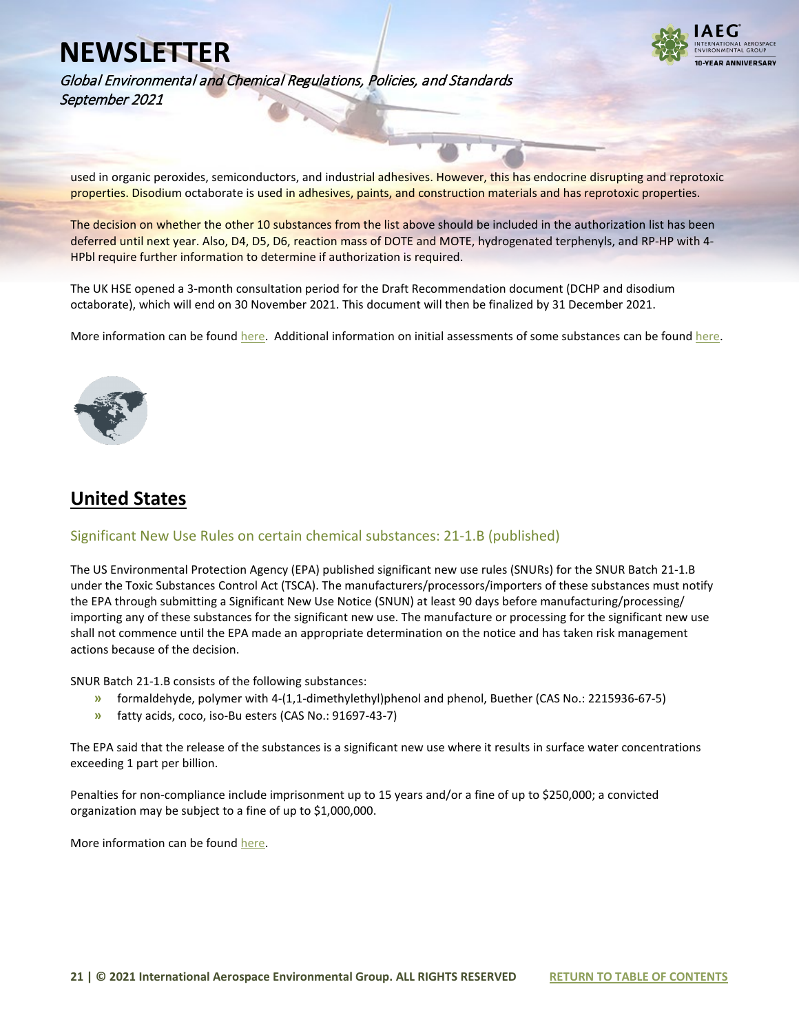

Global Environmental and Chemical Regulations, Policies, and Standards September 2021

used in organic peroxides, semiconductors, and industrial adhesives. However, this has endocrine disrupting and reprotoxic properties. Disodium octaborate is used in adhesives, paints, and construction materials and has reprotoxic properties.

The decision on whether the other 10 substances from the list above should be included in the authorization list has been deferred until next year. Also, D4, D5, D6, reaction mass of DOTE and MOTE, hydrogenated terphenyls, and RP-HP with 4- HPbl require further information to determine if authorization is required.

The UK HSE opened a 3-month consultation period for the Draft Recommendation document (DCHP and disodium octaborate), which will end on 30 November 2021. This document will then be finalized by 31 December 2021.

More information can be foun[d here.](https://www.iaeg.com/elements/pdf/UK_Draft_Recommendation_for_REACH_Annex_14.pdf) Additional information on initial assessments of some substances can be found [here.](https://www.iaeg.com/elements/pdf/UK_Initial_Assessments_for_REACH_Annex_14.pdf)

<span id="page-20-0"></span>

## <span id="page-20-1"></span>**United States**

#### <span id="page-20-2"></span>Significant New Use Rules on certain chemical substances: 21-1.B (published)

The US Environmental Protection Agency (EPA) published significant new use rules (SNURs) for the SNUR Batch 21-1.B under the Toxic Substances Control Act (TSCA). The manufacturers/processors/importers of these substances must notify the EPA through submitting a Significant New Use Notice (SNUN) at least 90 days before manufacturing/processing/ importing any of these substances for the significant new use. The manufacture or processing for the significant new use shall not commence until the EPA made an appropriate determination on the notice and has taken risk management actions because of the decision.

SNUR Batch 21-1.B consists of the following substances:

- **»** formaldehyde, polymer with 4-(1,1-dimethylethyl)phenol and phenol, Buether (CAS No.: 2215936-67-5)
- **»** fatty acids, coco, iso-Bu esters (CAS No.: 91697-43-7)

The EPA said that the release of the substances is a significant new use where it results in surface water concentrations exceeding 1 part per billion.

Penalties for non-compliance include imprisonment up to 15 years and/or a fine of up to \$250,000; a convicted organization may be subject to a fine of up to \$1,000,000.

More information can be foun[d here.](https://www.federalregister.gov/documents/2021/09/16/2021-20023/significant-new-use-rules-on-certain-chemical-substances-21-1b)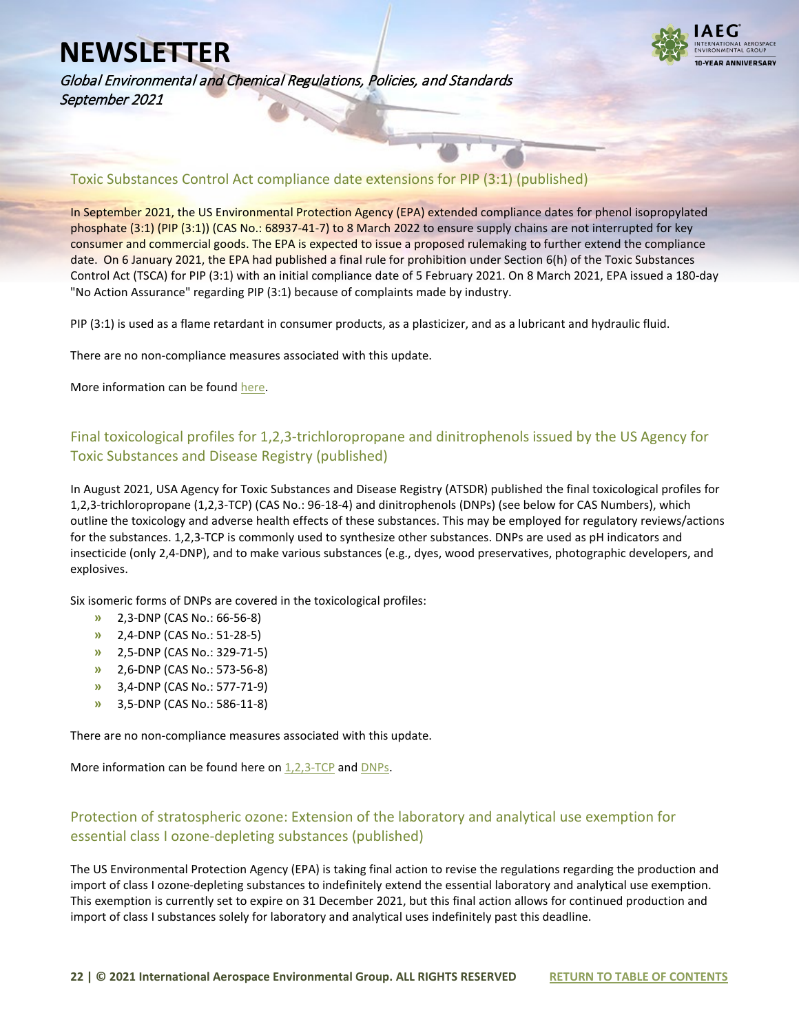

Global Environmental and Chemical Regulations, Policies, and Standards September 2021

### <span id="page-21-0"></span>Toxic Substances Control Act compliance date extensions for PIP (3:1) (published)

In September 2021, the US Environmental Protection Agency (EPA) extended compliance dates for phenol isopropylated phosphate (3:1) (PIP (3:1)) (CAS No.: 68937-41-7) to 8 March 2022 to ensure supply chains are not interrupted for key consumer and commercial goods. The EPA is expected to issue a proposed rulemaking to further extend the compliance date. On 6 January 2021, the EPA had published a final rule for prohibition under Section 6(h) of the Toxic Substances Control Act (TSCA) for PIP (3:1) with an initial compliance date of 5 February 2021. On 8 March 2021, EPA issued a 180-day "No Action Assurance" regarding PIP (3:1) because of complaints made by industry.

PIP (3:1) is used as a flame retardant in consumer products, as a plasticizer, and as a lubricant and hydraulic fluid.

There are no non-compliance measures associated with this update.

More information can be foun[d here.](https://www.epa.gov/assessing-and-managing-chemicals-under-tsca/current-and-future-actions-pbt-rules)

### <span id="page-21-1"></span>Final toxicological profiles for 1,2,3-trichloropropane and dinitrophenols issued by the US Agency for Toxic Substances and Disease Registry (published)

In August 2021, USA Agency for Toxic Substances and Disease Registry (ATSDR) published the final toxicological profiles for 1,2,3-trichloropropane (1,2,3-TCP) (CAS No.: 96-18-4) and dinitrophenols (DNPs) (see below for CAS Numbers), which outline the toxicology and adverse health effects of these substances. This may be employed for regulatory reviews/actions for the substances. 1,2,3-TCP is commonly used to synthesize other substances. DNPs are used as pH indicators and insecticide (only 2,4-DNP), and to make various substances (e.g., dyes, wood preservatives, photographic developers, and explosives.

Six isomeric forms of DNPs are covered in the toxicological profiles:

- **»** 2,3-DNP (CAS No.: 66-56-8)
- **»** 2,4-DNP (CAS No.: 51-28-5)
- **»** 2,5-DNP (CAS No.: 329-71-5)
- **»** 2,6-DNP (CAS No.: 573-56-8)
- **»** 3,4-DNP (CAS No.: 577-71-9)
- **»** 3,5-DNP (CAS No.: 586-11-8)

There are no non-compliance measures associated with this update.

More information can be found here on  $1,2,3$ -TCP and DNPs.

### <span id="page-21-2"></span>Protection of stratospheric ozone: Extension of the laboratory and analytical use exemption for essential class I ozone-depleting substances (published)

The US Environmental Protection Agency (EPA) is taking final action to revise the regulations regarding the production and import of class I ozone-depleting substances to indefinitely extend the essential laboratory and analytical use exemption. This exemption is currently set to expire on 31 December 2021, but this final action allows for continued production and import of class I substances solely for laboratory and analytical uses indefinitely past this deadline.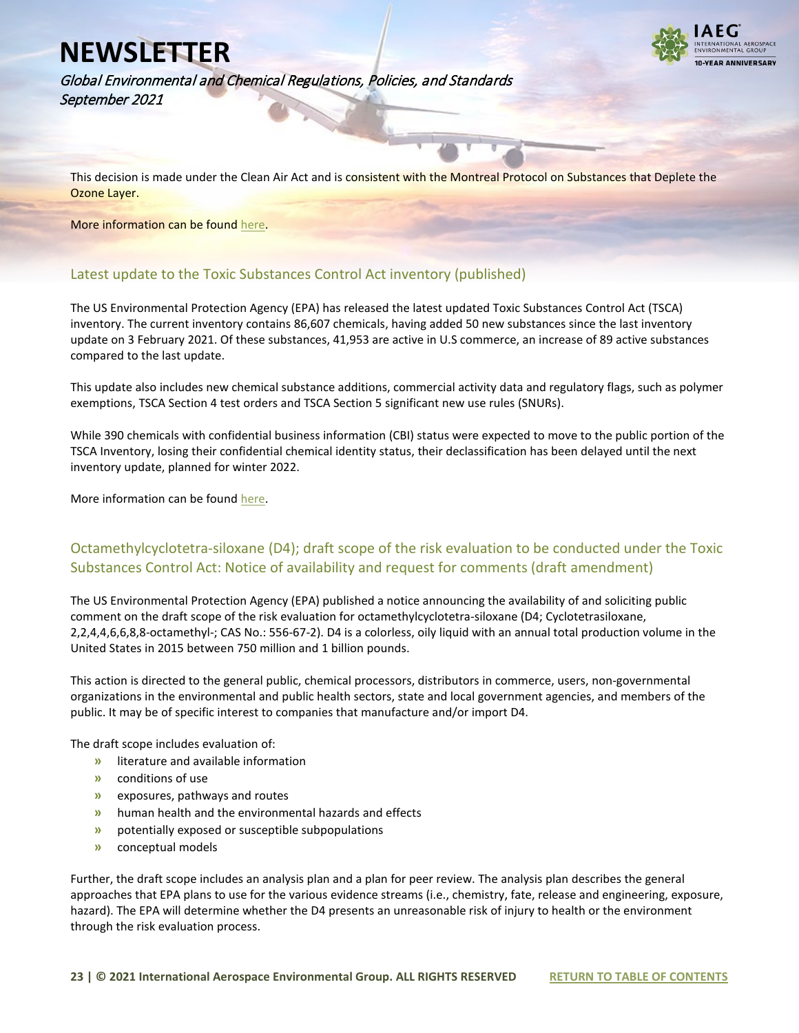

Global Environmental and Chemical Regulations, Policies, and Standards September 2021

This decision is made under the Clean Air Act and is consistent with the Montreal Protocol on Substances that Deplete the Ozone Layer.

More information can be foun[d here.](https://www.federalregister.gov/documents/2021/08/23/2021-17745/protection-of-stratospheric-ozone-extension-of-the-laboratory-and-analytical-use-exemption-for)

#### <span id="page-22-0"></span>Latest update to the Toxic Substances Control Act inventory (published)

The US Environmental Protection Agency (EPA) has released the latest updated Toxic Substances Control Act (TSCA) inventory. The current inventory contains 86,607 chemicals, having added 50 new substances since the last inventory update on 3 February 2021. Of these substances, 41,953 are active in U.S commerce, an increase of 89 active substances compared to the last update.

This update also includes new chemical substance additions, commercial activity data and regulatory flags, such as polymer exemptions, TSCA Section 4 test orders and TSCA Section 5 significant new use rules (SNURs).

While 390 chemicals with confidential business information (CBI) status were expected to move to the public portion of the TSCA Inventory, losing their confidential chemical identity status, their declassification has been delayed until the next inventory update, planned for winter 2022.

More information can be foun[d here.](https://www.epa.gov/chemicals-under-tsca/now-available-latest-update-tsca-inventory-2)

#### <span id="page-22-1"></span>Octamethylcyclotetra-siloxane (D4); draft scope of the risk evaluation to be conducted under the Toxic Substances Control Act: Notice of availability and request for comments (draft amendment)

The US Environmental Protection Agency (EPA) published a notice announcing the availability of and soliciting public comment on the draft scope of the risk evaluation for octamethylcyclotetra-siloxane (D4; Cyclotetrasiloxane, 2,2,4,4,6,6,8,8-octamethyl-; CAS No.: 556-67-2). D4 is a colorless, oily liquid with an annual total production volume in the United States in 2015 between 750 million and 1 billion pounds.

This action is directed to the general public, chemical processors, distributors in commerce, users, non-governmental organizations in the environmental and public health sectors, state and local government agencies, and members of the public. It may be of specific interest to companies that manufacture and/or import D4.

The draft scope includes evaluation of:

- **»** literature and available information
- **»** conditions of use
- **»** exposures, pathways and routes
- **»** human health and the environmental hazards and effects
- **»** potentially exposed or susceptible subpopulations
- **»** conceptual models

Further, the draft scope includes an analysis plan and a plan for peer review. The analysis plan describes the general approaches that EPA plans to use for the various evidence streams (i.e., chemistry, fate, release and engineering, exposure, hazard). The EPA will determine whether the D4 presents an unreasonable risk of injury to health or the environment through the risk evaluation process.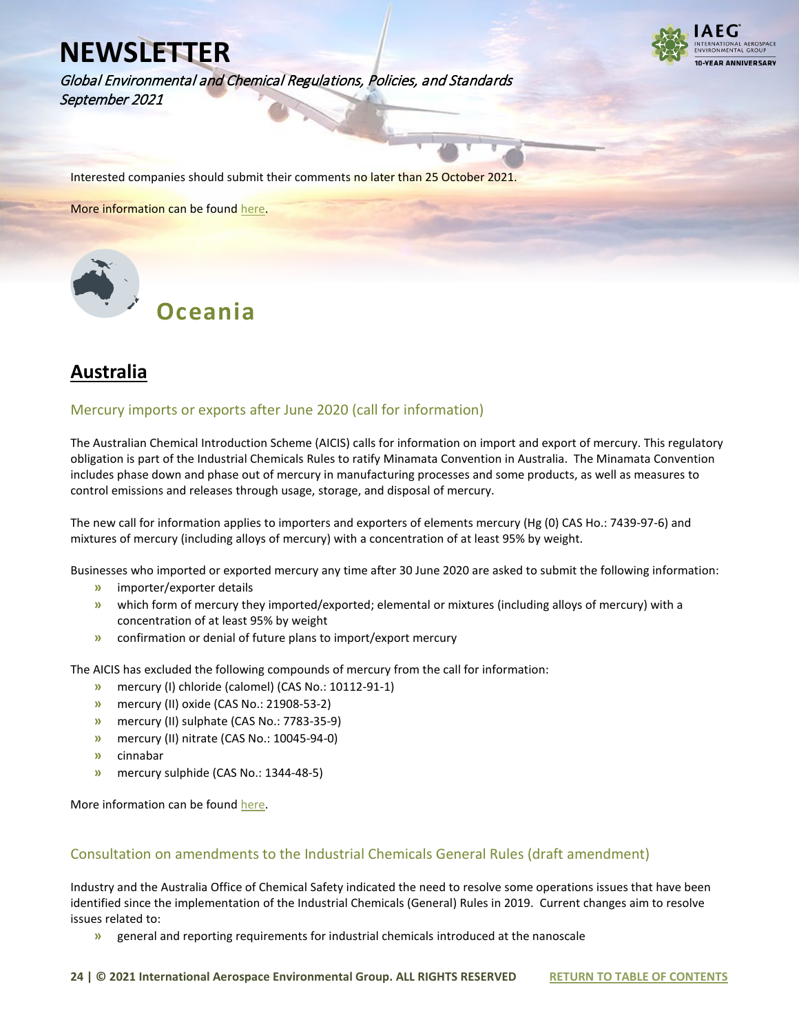Global Environmental and Chemical Regulations, Policies, and Standards September 2021



Interested companies should submit their comments no later than 25 October 2021.

More information can be foun[d here.](https://www.federalregister.gov/documents/2021/09/08/2021-19392/octamethylcyclotetra-siloxane-d4-draft-scope-of-the-risk-evaluation-to-be-conducted-under-the-toxic)

<span id="page-23-0"></span>

## <span id="page-23-1"></span>**Australia**

#### <span id="page-23-2"></span>Mercury imports or exports after June 2020 (call for information)

The Australian Chemical Introduction Scheme (AICIS) calls for information on import and export of mercury. This regulatory obligation is part of the Industrial Chemicals Rules to ratify Minamata Convention in Australia. The Minamata Convention includes phase down and phase out of mercury in manufacturing processes and some products, as well as measures to control emissions and releases through usage, storage, and disposal of mercury.

The new call for information applies to importers and exporters of elements mercury (Hg (0) CAS Ho.: 7439-97-6) and mixtures of mercury (including alloys of mercury) with a concentration of at least 95% by weight.

Businesses who imported or exported mercury any time after 30 June 2020 are asked to submit the following information:

- **»** importer/exporter details
- **»** which form of mercury they imported/exported; elemental or mixtures (including alloys of mercury) with a concentration of at least 95% by weight
- **»** confirmation or denial of future plans to import/export mercury

The AICIS has excluded the following compounds of mercury from the call for information:

- **»** mercury (I) chloride (calomel) (CAS No.: 10112-91-1)
- **»** mercury (II) oxide (CAS No.: 21908-53-2)
- **»** mercury (II) sulphate (CAS No.: 7783-35-9)
- **»** mercury (II) nitrate (CAS No.: 10045-94-0)
- **»** cinnabar
- **»** mercury sulphide (CAS No.: 1344-48-5)

More information can be foun[d here.](https://www.industrialchemicals.gov.au/news-and-notices/call-information-mercury-imports-or-exports-after-june-2020)

#### <span id="page-23-3"></span>Consultation on amendments to the Industrial Chemicals General Rules (draft amendment)

Industry and the Australia Office of Chemical Safety indicated the need to resolve some operations issues that have been identified since the implementation of the Industrial Chemicals (General) Rules in 2019. Current changes aim to resolve issues related to:

**»** general and reporting requirements for industrial chemicals introduced at the nanoscale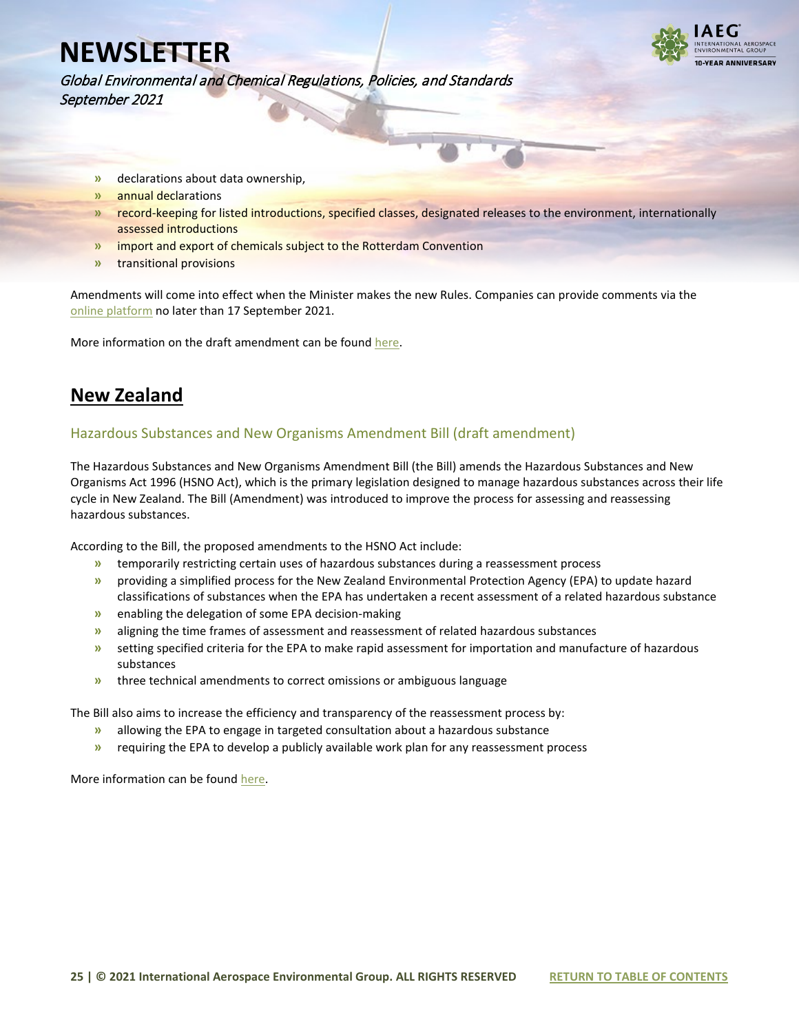

Global Environmental and Chemical Regulations, Policies, and Standards September 2021

- **»** declarations about data ownership,
- **»** annual declarations
- **»** record-keeping for listed introductions, specified classes, designated releases to the environment, internationally assessed introductions
- **»** import and export of chemicals subject to the Rotterdam Convention
- **»** transitional provisions

Amendments will come into effect when the Minister makes the new Rules. Companies can provide comments via the [online platform](https://www.industrialchemicals.gov.au/news-and-notices/consultation-proposed-amendments-general-rules) no later than 17 September 2021.

More information on the draft amendment can be foun[d here.](https://www.industrialchemicals.gov.au/sites/default/files/2021-08/Consultation%20on%20amendments%20to%20the%20Industrial%20Chemicals%20%28General%20Rules%29%20%5BPDF%201290%20KB%5D.pdf)

### <span id="page-24-0"></span>**New Zealand**

#### <span id="page-24-1"></span>Hazardous Substances and New Organisms Amendment Bill (draft amendment)

The Hazardous Substances and New Organisms Amendment Bill (the Bill) amends the Hazardous Substances and New Organisms Act 1996 (HSNO Act), which is the primary legislation designed to manage hazardous substances across their life cycle in New Zealand. The Bill (Amendment) was introduced to improve the process for assessing and reassessing hazardous substances.

According to the Bill, the proposed amendments to the HSNO Act include:

- **»** temporarily restricting certain uses of hazardous substances during a reassessment process
- **»** providing a simplified process for the New Zealand Environmental Protection Agency (EPA) to update hazard classifications of substances when the EPA has undertaken a recent assessment of a related hazardous substance
- **»** enabling the delegation of some EPA decision-making
- **»** aligning the time frames of assessment and reassessment of related hazardous substances
- **»** setting specified criteria for the EPA to make rapid assessment for importation and manufacture of hazardous substances
- **»** three technical amendments to correct omissions or ambiguous language

The Bill also aims to increase the efficiency and transparency of the reassessment process by:

- **»** allowing the EPA to engage in targeted consultation about a hazardous substance
- **»** requiring the EPA to develop a publicly available work plan for any reassessment process

More information can be foun[d here.](https://www.legislation.govt.nz/bill/government/2021/0054/latest/LMS522320.html)